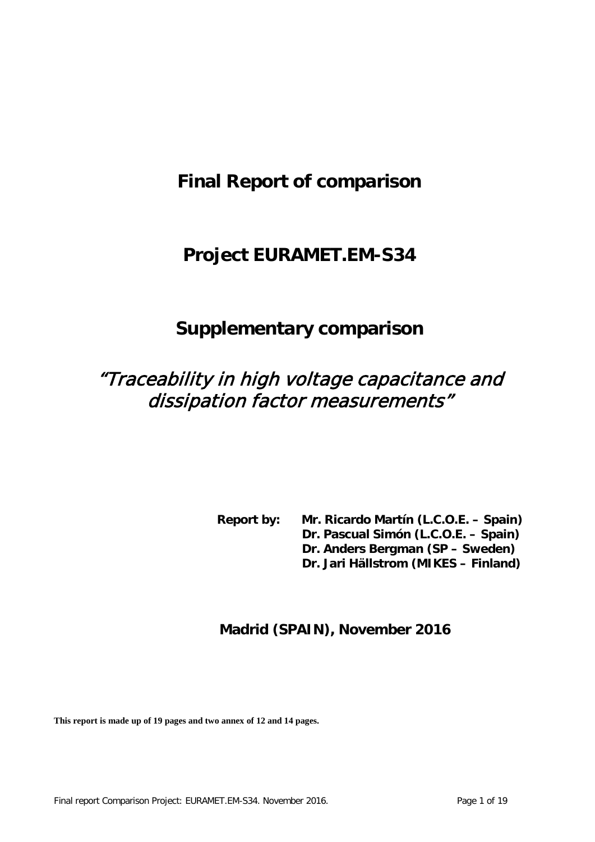# **Final Report of comparison**

# **Project EURAMET.EM-S34**

# **Supplementary comparison**

# "Traceability in high voltage capacitance and dissipation factor measurements"

**Report by: Mr. Ricardo Martín (L.C.O.E. – Spain) Dr. Pascual Simón (L.C.O.E. – Spain) Dr. Anders Bergman (SP – Sweden) Dr. Jari Hällstrom (MIKES – Finland)**

## **Madrid (SPAIN), November 2016**

**This report is made up of 19 pages and two annex of 12 and 14 pages.**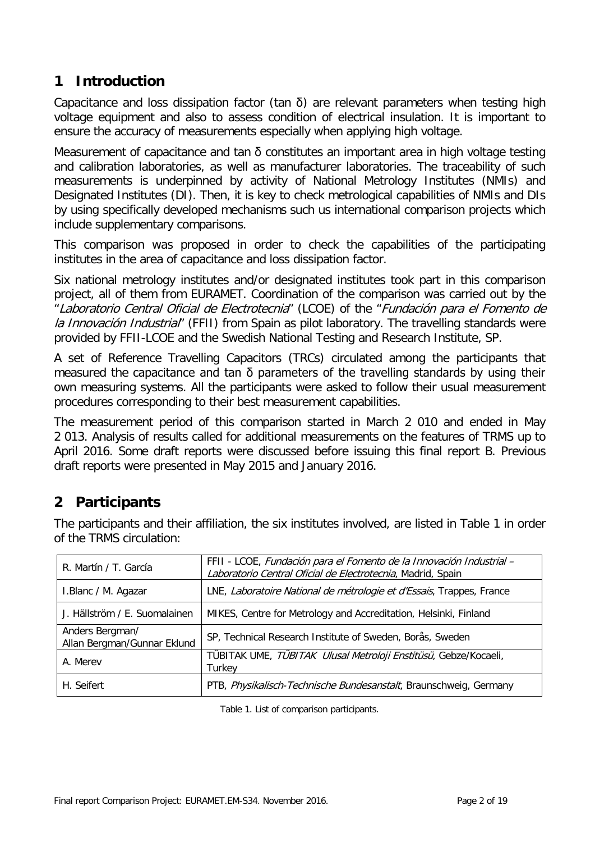## **1 Introduction**

Capacitance and loss dissipation factor (tan  $\delta$ ) are relevant parameters when testing high voltage equipment and also to assess condition of electrical insulation. It is important to ensure the accuracy of measurements especially when applying high voltage.

Measurement of capacitance and tan  $\delta$  constitutes an important area in high voltage testing and calibration laboratories, as well as manufacturer laboratories. The traceability of such measurements is underpinned by activity of National Metrology Institutes (NMIs) and Designated Institutes (DI). Then, it is key to check metrological capabilities of NMIs and DIs by using specifically developed mechanisms such us international comparison projects which include supplementary comparisons.

This comparison was proposed in order to check the capabilities of the participating institutes in the area of capacitance and loss dissipation factor.

Six national metrology institutes and/or designated institutes took part in this comparison project, all of them from EURAMET. Coordination of the comparison was carried out by the "Laboratorio Central Oficial de Electrotecnia" (LCOE) of the "Fundación para el Fomento de la Innovación Industrial" (FFII) from Spain as pilot laboratory. The travelling standards were provided by FFII-LCOE and the Swedish National Testing and Research Institute, SP.

A set of Reference Travelling Capacitors (TRCs) circulated among the participants that measured the capacitance and tan δ parameters of the travelling standards by using their own measuring systems. All the participants were asked to follow their usual measurement procedures corresponding to their best measurement capabilities.

The measurement period of this comparison started in March 2 010 and ended in May 2 013. Analysis of results called for additional measurements on the features of TRMS up to April 2016. Some draft reports were discussed before issuing this final report B. Previous draft reports were presented in May 2015 and January 2016.

# **2 Participants**

The participants and their affiliation, the six institutes involved, are listed in Table 1 in order of the TRMS circulation:

| R. Martín / T. García                          | FFII - LCOE, Fundación para el Fomento de la Innovación Industrial -<br>Laboratorio Central Oficial de Electrotecnia, Madrid, Spain |
|------------------------------------------------|-------------------------------------------------------------------------------------------------------------------------------------|
| I.Blanc / M. Agazar                            | LNE, Laboratoire National de métrologie et d'Essais, Trappes, France                                                                |
| J. Hällström / E. Suomalainen                  | MIKES, Centre for Metrology and Accreditation, Helsinki, Finland                                                                    |
| Anders Bergman/<br>Allan Bergman/Gunnar Eklund | SP, Technical Research Institute of Sweden, Borås, Sweden                                                                           |
| A. Merev                                       | TÜBITAK UME, TÜBITAK Ulusal Metroloji Enstitüsü, Gebze/Kocaeli,<br>Turkey                                                           |
| H. Seifert                                     | PTB, Physikalisch-Technische Bundesanstalt, Braunschweig, Germany                                                                   |

Table 1. List of comparison participants.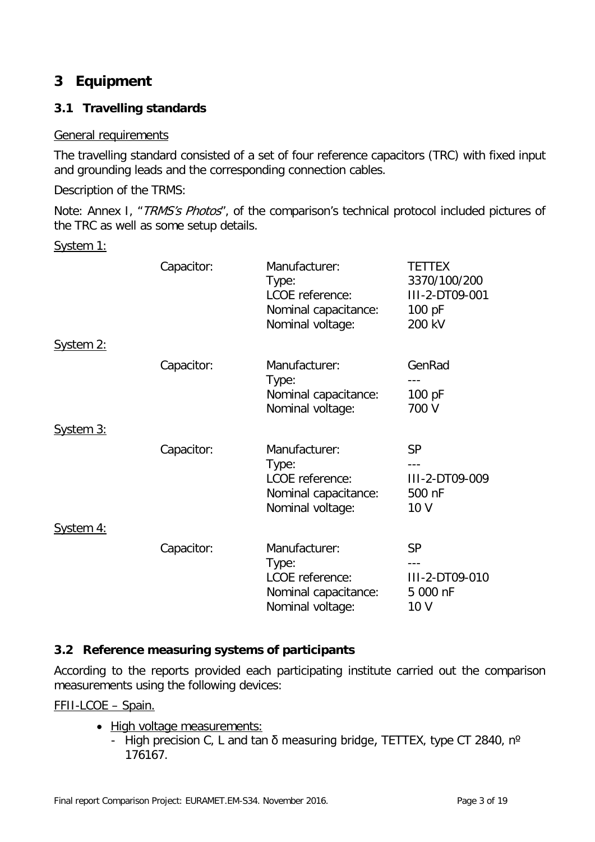# **3 Equipment**

### **3.1 Travelling standards**

### General requirements

The travelling standard consisted of a set of four reference capacitors (TRC) with fixed input and grounding leads and the corresponding connection cables.

Description of the TRMS:

Note: Annex I, "TRMS's Photos", of the comparison's technical protocol included pictures of the TRC as well as some setup details.

System 1:

|           | Capacitor: | Manufacturer:<br>Type:<br>LCOE reference:<br>Nominal capacitance:<br>Nominal voltage: | <b>TETTEX</b><br>3370/100/200<br>III-2-DT09-001<br>100 pF<br>200 kV |
|-----------|------------|---------------------------------------------------------------------------------------|---------------------------------------------------------------------|
| System 2: |            |                                                                                       |                                                                     |
|           | Capacitor: | Manufacturer:<br>Type:<br>Nominal capacitance:<br>Nominal voltage:                    | GenRad<br>100 pF<br>700 V                                           |
| System 3: |            |                                                                                       |                                                                     |
|           | Capacitor: | Manufacturer:<br>Type:<br>LCOE reference:<br>Nominal capacitance:<br>Nominal voltage: | <b>SP</b><br>III-2-DT09-009<br>500 nF<br>10 V                       |
| System 4: |            |                                                                                       |                                                                     |
|           | Capacitor: | Manufacturer:<br>Type:<br>LCOE reference:<br>Nominal capacitance:<br>Nominal voltage: | <b>SP</b><br>III-2-DT09-010<br>5 000 nF<br>10 V                     |

### **3.2 Reference measuring systems of participants**

According to the reports provided each participating institute carried out the comparison measurements using the following devices:

FFII-LCOE – Spain.

- High voltage measurements:
	- High precision C, L and tan  $\delta$  measuring bridge, TETTEX, type CT 2840, n<sup>o</sup> 176167.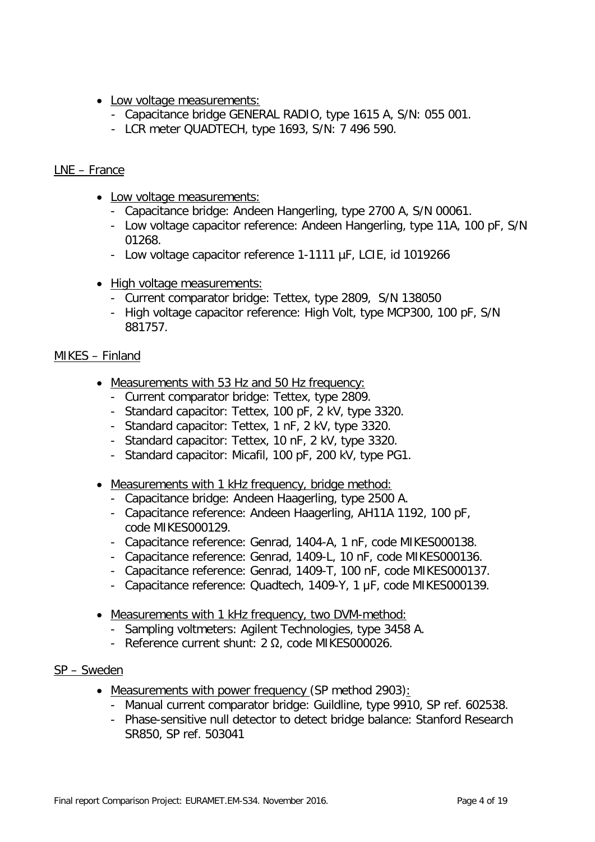- Low voltage measurements:
	- Capacitance bridge GENERAL RADIO, type 1615 A, S/N: 055 001.
	- LCR meter QUADTECH, type 1693, S/N: 7 496 590.

#### LNE – France

- Low voltage measurements:
	- Capacitance bridge: Andeen Hangerling, type 2700 A, S/N 00061.
	- Low voltage capacitor reference: Andeen Hangerling, type 11A, 100 pF, S/N 01268.
	- Low voltage capacitor reference 1-1111 µF, LCIE, id 1019266
- High voltage measurements:
	- Current comparator bridge: Tettex, type 2809, S/N 138050
	- High voltage capacitor reference: High Volt, type MCP300, 100 pF, S/N 881757.

#### MIKES – Finland

- Measurements with 53 Hz and 50 Hz frequency:
	- Current comparator bridge: Tettex, type 2809.
	- Standard capacitor: Tettex, 100 pF, 2 kV, type 3320.
	- Standard capacitor: Tettex, 1 nF, 2 kV, type 3320.
	- Standard capacitor: Tettex, 10 nF, 2 kV, type 3320.
	- Standard capacitor: Micafil, 100 pF, 200 kV, type PG1.
- Measurements with 1 kHz frequency, bridge method:
	- Capacitance bridge: Andeen Haagerling, type 2500 A.
	- Capacitance reference: Andeen Haagerling, AH11A 1192, 100 pF, code MIKES000129.
	- Capacitance reference: Genrad, 1404-A, 1 nF, code MIKES000138.
	- Capacitance reference: Genrad, 1409-L, 10 nF, code MIKES000136.
	- Capacitance reference: Genrad, 1409-T, 100 nF, code MIKES000137.
	- Capacitance reference: Quadtech, 1409-Y, 1 μF, code MIKES000139.
- Measurements with 1 kHz frequency, two DVM-method:
	- Sampling voltmeters: Agilent Technologies, type 3458 A.
	- Reference current shunt: 2 Ω, code MIKES000026.

#### SP – Sweden

- Measurements with power frequency (SP method 2903):
	- Manual current comparator bridge: Guildline, type 9910, SP ref. 602538.
	- Phase-sensitive null detector to detect bridge balance: Stanford Research SR850, SP ref. 503041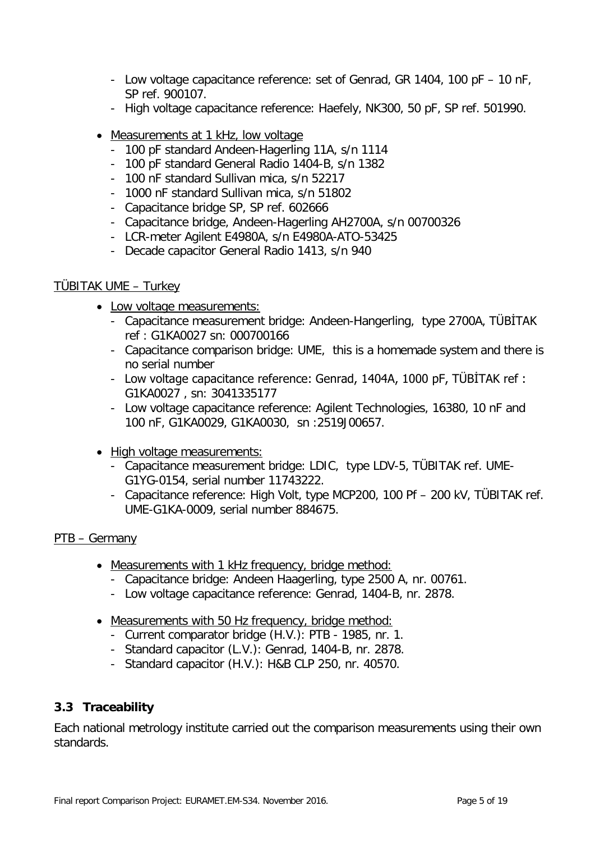- Low voltage capacitance reference: set of Genrad, GR 1404, 100 pF 10 nF, SP ref. 900107.
- High voltage capacitance reference: Haefely, NK300, 50 pF, SP ref. 501990.
- Measurements at 1 kHz, low voltage
	- 100 pF standard Andeen-Hagerling 11A, s/n 1114
	- 100 pF standard General Radio 1404-B, s/n 1382
	- 100 nF standard Sullivan mica, s/n 52217
	- 1000 nF standard Sullivan mica, s/n 51802
	- Capacitance bridge SP, SP ref. 602666
	- Capacitance bridge, Andeen-Hagerling AH2700A, s/n 00700326
	- LCR-meter Agilent E4980A, s/n E4980A-ATO-53425
	- Decade capacitor General Radio 1413, s/n 940

#### TÜBITAK UME – Turkey

- Low voltage measurements:
	- Capacitance measurement bridge: Andeen-Hangerling, type 2700A, TÜBİTAK ref : G1KA0027 sn: 000700166
	- Capacitance comparison bridge: UME, this is a homemade system and there is no serial number
	- Low voltage capacitance reference: Genrad, 1404A, 1000 pF, TÜBİTAK ref : G1KA0027 , sn: 3041335177
	- Low voltage capacitance reference: Agilent Technologies, 16380, 10 nF and 100 nF, G1KA0029, G1KA0030, sn :2519J00657.
- High voltage measurements:
	- Capacitance measurement bridge: LDIC, type LDV-5, TÜBITAK ref. UME-G1YG-0154, serial number 11743222.
	- Capacitance reference: High Volt, type MCP200, 100 Pf 200 kV, TÜBITAK ref. UME-G1KA-0009, serial number 884675.

### PTB – Germany

- Measurements with 1 kHz frequency, bridge method:
	- Capacitance bridge: Andeen Haagerling, type 2500 A, nr. 00761.
	- Low voltage capacitance reference: Genrad, 1404-B, nr. 2878.
- Measurements with 50 Hz frequency, bridge method:
	- Current comparator bridge (H.V.): PTB 1985, nr. 1.
	- Standard capacitor (L.V.): Genrad, 1404-B, nr. 2878.
	- Standard capacitor (H.V.): H&B CLP 250, nr. 40570.

### **3.3 Traceability**

Each national metrology institute carried out the comparison measurements using their own standards.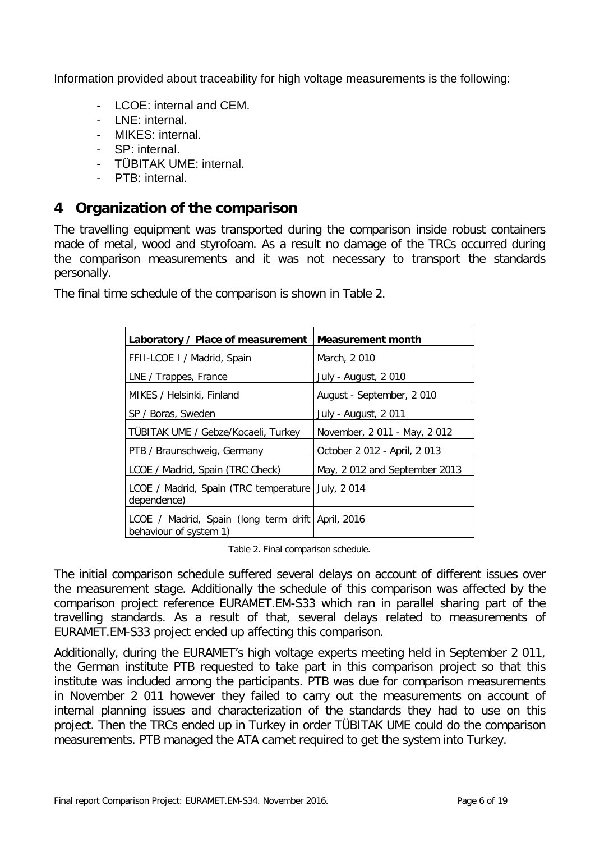Information provided about traceability for high voltage measurements is the following:

- LCOE: internal and CEM.
- LNE: internal.
- MIKES: internal.
- SP: internal.
- TÜBITAK UME: internal.
- PTB: internal

### **4 Organization of the comparison**

The travelling equipment was transported during the comparison inside robust containers made of metal, wood and styrofoam. As a result no damage of the TRCs occurred during the comparison measurements and it was not necessary to transport the standards personally.

The final time schedule of the comparison is shown in Table 2.

| Laboratory / Place of measurement                                           | <b>Measurement month</b>     |
|-----------------------------------------------------------------------------|------------------------------|
| FFII-LCOE I / Madrid, Spain                                                 | March, 2010                  |
| LNE / Trappes, France                                                       | July - August, 2010          |
| MIKES / Helsinki, Finland                                                   | August - September, 2010     |
| SP / Boras, Sweden                                                          | July - August, 2011          |
| TÜBITAK UME / Gebze/Kocaeli, Turkey                                         | November, 2011 - May, 2012   |
| PTB / Braunschweig, Germany                                                 | October 2 012 - April, 2 013 |
| LCOE / Madrid, Spain (TRC Check)                                            | May, 2012 and September 2013 |
| LCOE / Madrid, Spain (TRC temperature<br>dependence)                        | July, 2014                   |
| LCOE / Madrid, Spain (long term drift April, 2016<br>behaviour of system 1) |                              |

Table 2. Final comparison schedule.

The initial comparison schedule suffered several delays on account of different issues over the measurement stage. Additionally the schedule of this comparison was affected by the comparison project reference EURAMET.EM-S33 which ran in parallel sharing part of the travelling standards. As a result of that, several delays related to measurements of EURAMET.EM-S33 project ended up affecting this comparison.

Additionally, during the EURAMET's high voltage experts meeting held in September 2 011, the German institute PTB requested to take part in this comparison project so that this institute was included among the participants. PTB was due for comparison measurements in November 2 011 however they failed to carry out the measurements on account of internal planning issues and characterization of the standards they had to use on this project. Then the TRCs ended up in Turkey in order TÜBITAK UME could do the comparison measurements. PTB managed the ATA carnet required to get the system into Turkey.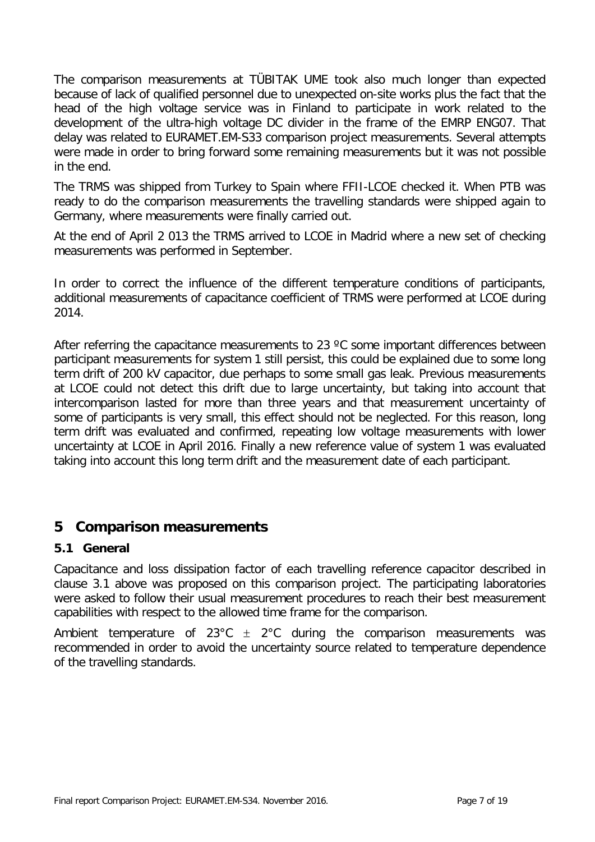The comparison measurements at TÜBITAK UME took also much longer than expected because of lack of qualified personnel due to unexpected on-site works plus the fact that the head of the high voltage service was in Finland to participate in work related to the development of the ultra-high voltage DC divider in the frame of the EMRP ENG07. That delay was related to EURAMET.EM-S33 comparison project measurements. Several attempts were made in order to bring forward some remaining measurements but it was not possible in the end.

The TRMS was shipped from Turkey to Spain where FFII-LCOE checked it. When PTB was ready to do the comparison measurements the travelling standards were shipped again to Germany, where measurements were finally carried out.

At the end of April 2 013 the TRMS arrived to LCOE in Madrid where a new set of checking measurements was performed in September.

In order to correct the influence of the different temperature conditions of participants, additional measurements of capacitance coefficient of TRMS were performed at LCOE during 2014.

After referring the capacitance measurements to 23 °C some important differences between participant measurements for system 1 still persist, this could be explained due to some long term drift of 200 kV capacitor, due perhaps to some small gas leak. Previous measurements at LCOE could not detect this drift due to large uncertainty, but taking into account that intercomparison lasted for more than three years and that measurement uncertainty of some of participants is very small, this effect should not be neglected. For this reason, long term drift was evaluated and confirmed, repeating low voltage measurements with lower uncertainty at LCOE in April 2016. Finally a new reference value of system 1 was evaluated taking into account this long term drift and the measurement date of each participant.

### **5 Comparison measurements**

### **5.1 General**

Capacitance and loss dissipation factor of each travelling reference capacitor described in clause 3.1 above was proposed on this comparison project. The participating laboratories were asked to follow their usual measurement procedures to reach their best measurement capabilities with respect to the allowed time frame for the comparison.

Ambient temperature of  $23^{\circ}C \pm 2^{\circ}C$  during the comparison measurements was recommended in order to avoid the uncertainty source related to temperature dependence of the travelling standards.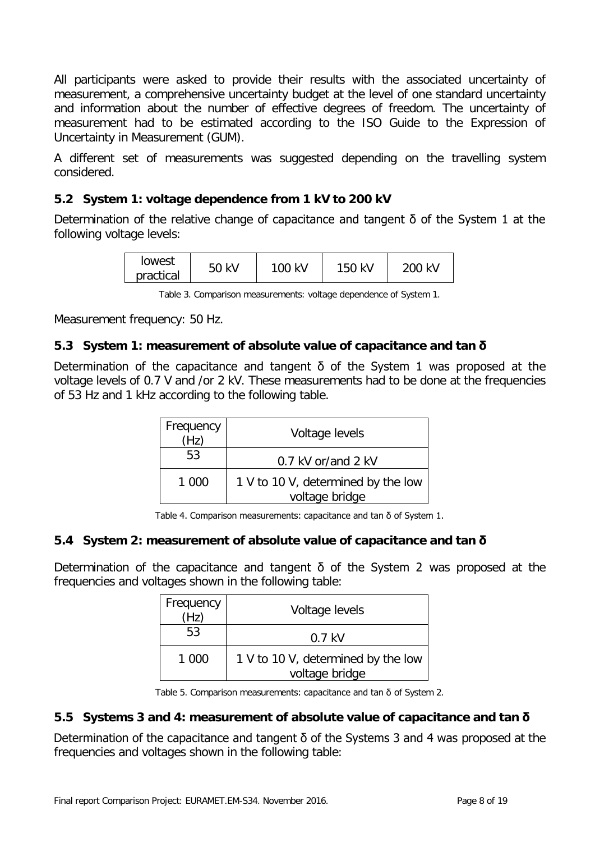All participants were asked to provide their results with the associated uncertainty of measurement, a comprehensive uncertainty budget at the level of one standard uncertainty and information about the number of effective degrees of freedom. The uncertainty of measurement had to be estimated according to the ISO Guide to the Expression of Uncertainty in Measurement (GUM).

A different set of measurements was suggested depending on the travelling system considered.

### **5.2 System 1: voltage dependence from 1 kV to 200 kV**

Determination of the relative change of capacitance and tangent δ of the System 1 at the following voltage levels:

| lowest    | kV<br>г n | 100 kV | kV<br>150 | 200 kV |
|-----------|-----------|--------|-----------|--------|
| practical | bU        |        |           |        |

Table 3. Comparison measurements: voltage dependence of System 1.

Measurement frequency: 50 Hz.

### **5.3 System 1: measurement of absolute value of capacitance and tan δ**

Determination of the capacitance and tangent δ of the System 1 was proposed at the voltage levels of 0.7 V and /or 2 kV. These measurements had to be done at the frequencies of 53 Hz and 1 kHz according to the following table.

| Frequency<br>Hz) | Voltage levels                                       |
|------------------|------------------------------------------------------|
| 53               | 0.7 kV or/and 2 kV                                   |
| 1 000            | 1 V to 10 V, determined by the low<br>voltage bridge |

Table 4. Comparison measurements: capacitance and tan δ of System 1.

### **5.4 System 2: measurement of absolute value of capacitance and tan δ**

Determination of the capacitance and tangent δ of the System 2 was proposed at the frequencies and voltages shown in the following table:

| Frequency<br>(Hz) | Voltage levels                                       |
|-------------------|------------------------------------------------------|
| 53                | $0.7$ kV                                             |
| 1 000             | 1 V to 10 V, determined by the low<br>voltage bridge |

Table 5. Comparison measurements: capacitance and tan δ of System 2.

### **5.5 Systems 3 and 4: measurement of absolute value of capacitance and tan δ**

Determination of the capacitance and tangent δ of the Systems 3 and 4 was proposed at the frequencies and voltages shown in the following table: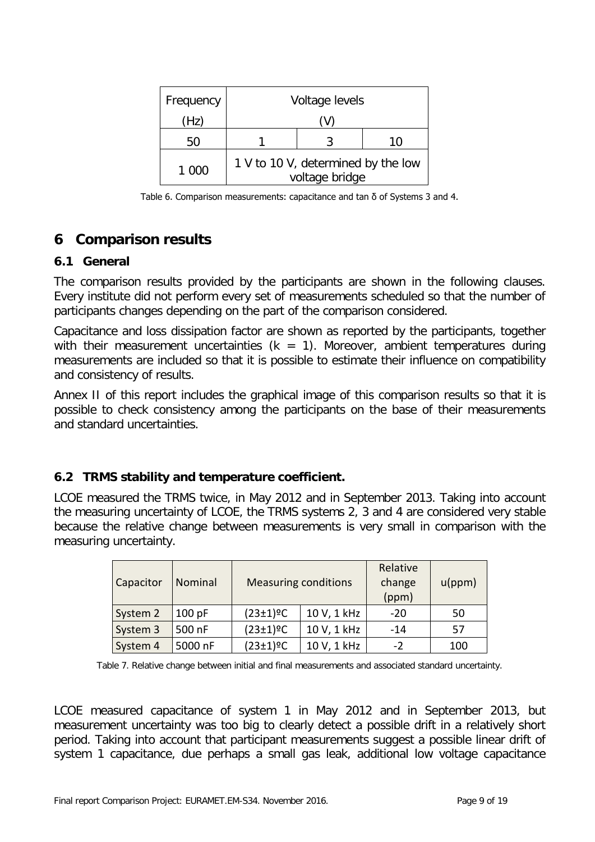| Frequency | Voltage levels                                       |    |
|-----------|------------------------------------------------------|----|
| (Hz)      |                                                      |    |
| 50        |                                                      | 10 |
| 1 000     | 1 V to 10 V, determined by the low<br>voltage bridge |    |

Table 6. Comparison measurements: capacitance and tan δ of Systems 3 and 4.

## **6 Comparison results**

### **6.1 General**

The comparison results provided by the participants are shown in the following clauses. Every institute did not perform every set of measurements scheduled so that the number of participants changes depending on the part of the comparison considered.

Capacitance and loss dissipation factor are shown as reported by the participants, together with their measurement uncertainties ( $k = 1$ ). Moreover, ambient temperatures during measurements are included so that it is possible to estimate their influence on compatibility and consistency of results.

Annex II of this report includes the graphical image of this comparison results so that it is possible to check consistency among the participants on the base of their measurements and standard uncertainties.

### **6.2 TRMS stability and temperature coefficient.**

LCOE measured the TRMS twice, in May 2012 and in September 2013. Taking into account the measuring uncertainty of LCOE, the TRMS systems 2, 3 and 4 are considered very stable because the relative change between measurements is very small in comparison with the measuring uncertainty.

| Capacitor | Nominal |                             | <b>Measuring conditions</b> | Relative<br>change<br>(ppm) | u(ppm) |
|-----------|---------|-----------------------------|-----------------------------|-----------------------------|--------|
| System 2  | 100 pF  | $(23 \pm 1)$ <sup>o</sup> C | 10 V, 1 kHz                 | $-20$                       | 50     |
| System 3  | 500 nF  | $(23 \pm 1)$ <sup>o</sup> C | 10 V, 1 kHz                 | $-14$                       | 57     |
| System 4  | 5000 nF | $(23 \pm 1)$ <sup>o</sup> C | 10 V, 1 kHz                 | $-2$                        | 100    |

Table 7. Relative change between initial and final measurements and associated standard uncertainty.

LCOE measured capacitance of system 1 in May 2012 and in September 2013, but measurement uncertainty was too big to clearly detect a possible drift in a relatively short period. Taking into account that participant measurements suggest a possible linear drift of system 1 capacitance, due perhaps a small gas leak, additional low voltage capacitance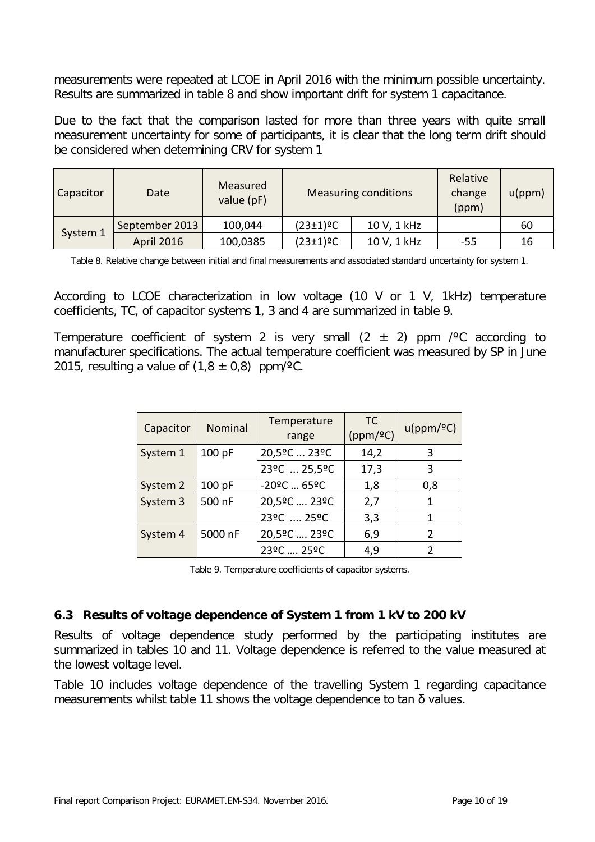measurements were repeated at LCOE in April 2016 with the minimum possible uncertainty. Results are summarized in table 8 and show important drift for system 1 capacitance.

Due to the fact that the comparison lasted for more than three years with quite small measurement uncertainty for some of participants, it is clear that the long term drift should be considered when determining CRV for system 1

| Capacitor | Date                          | Measured<br>value (pF) |                             | <b>Measuring conditions</b> | Relative<br>change<br>(ppm) | u(ppm) |
|-----------|-------------------------------|------------------------|-----------------------------|-----------------------------|-----------------------------|--------|
|           | September 2013                | 100,044                | $(23 \pm 1)$ <sup>o</sup> C | 10 V, 1 kHz                 |                             | 60     |
| System 1  | <b>April 2016</b><br>100,0385 |                        | $(23 \pm 1)$ <sup>o</sup> C | 10 V, 1 kHz                 | -55                         | 16     |

Table 8. Relative change between initial and final measurements and associated standard uncertainty for system 1.

According to LCOE characterization in low voltage (10 V or 1 V, 1kHz) temperature coefficients, TC, of capacitor systems 1, 3 and 4 are summarized in table 9.

Temperature coefficient of system 2 is very small  $(2 \pm 2)$  ppm / $\degree$ C according to manufacturer specifications. The actual temperature coefficient was measured by SP in June 2015, resulting a value of  $(1.8 \pm 0.8)$  ppm/<sup>o</sup>C.

| Capacitor | Nominal | Temperature<br>range                    | <b>TC</b><br>(ppm/2C) | u(ppm/2C)     |
|-----------|---------|-----------------------------------------|-----------------------|---------------|
| System 1  | 100 pF  | 20,5ºC  23ºC                            | 14,2                  | 3             |
|           |         | 23ºC  25,5ºC                            | 17,3                  | 3             |
| System 2  | 100 pF  | $-20$ <sup>o</sup> C  65 <sup>o</sup> C | 1,8                   | 0,8           |
| System 3  | 500 nF  | 20,5ºC  23ºC                            | 2,7                   | 1             |
|           |         | 23°C  25°C                              | 3,3                   | 1             |
| System 4  | 5000 nF | 20,5ºC  23ºC                            | 6,9                   | $\mathcal{P}$ |
|           |         | 23°C  25°C                              | 4,9                   | າ             |

Table 9. Temperature coefficients of capacitor systems.

### **6.3 Results of voltage dependence of System 1 from 1 kV to 200 kV**

Results of voltage dependence study performed by the participating institutes are summarized in tables 10 and 11. Voltage dependence is referred to the value measured at the lowest voltage level.

Table 10 includes voltage dependence of the travelling System 1 regarding capacitance measurements whilst table 11 shows the voltage dependence to tan δ values.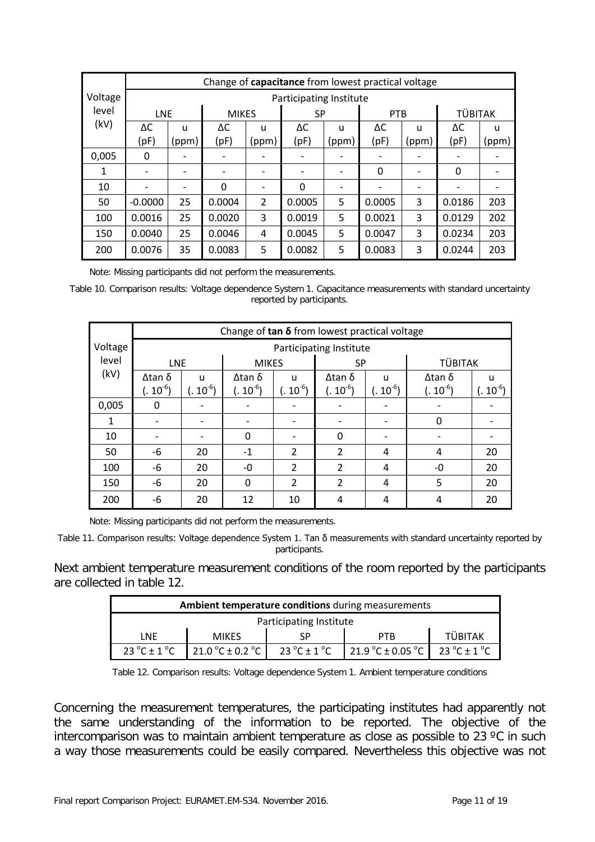|         | Change of capacitance from lowest practical voltage |                         |                 |                |              |              |        |                          |                |       |  |
|---------|-----------------------------------------------------|-------------------------|-----------------|----------------|--------------|--------------|--------|--------------------------|----------------|-------|--|
| Voltage |                                                     | Participating Institute |                 |                |              |              |        |                          |                |       |  |
| level   | <b>LNE</b>                                          |                         | <b>MIKES</b>    |                |              | <b>SP</b>    |        | <b>PTB</b>               | <b>TÜBITAK</b> |       |  |
| (kV)    | ΔC                                                  | $\mathbf{U}$            | ΔC              | u              | ΔC           | $\mathbf{U}$ | ΔС     | u                        | ΔC             | u     |  |
|         | (pF)                                                | (ppm)                   | (pF)            | (ppm)          | (pF)         | (ppm)        | (pF)   | (ppm)                    | (pF)           | (ppm) |  |
| 0,005   | 0                                                   |                         | $\qquad \qquad$ |                |              |              |        |                          |                |       |  |
| 1       |                                                     |                         | $\qquad \qquad$ |                |              |              | 0      | $\overline{\phantom{0}}$ | $\Omega$       |       |  |
| 10      |                                                     |                         | $\Omega$        |                | $\mathbf{0}$ |              |        |                          |                |       |  |
| 50      | $-0.0000$                                           | 25                      | 0.0004          | $\overline{2}$ | 0.0005       | 5            | 0.0005 | 3                        | 0.0186         | 203   |  |
| 100     | 0.0016                                              | 25                      | 0.0020          | 3              | 0.0019       | 5            | 0.0021 | 3                        | 0.0129         | 202   |  |
| 150     | 0.0040                                              | 25                      | 0.0046          | 4              | 0.0045       | 5            | 0.0047 | 3                        | 0.0234         | 203   |  |
| 200     | 0.0076                                              | 35                      | 0.0083          | 5              | 0.0082       | 5            | 0.0083 | 3                        | 0.0244         | 203   |  |

Note: Missing participants did not perform the measurements.

Table 10. Comparison results: Voltage dependence System 1. Capacitance measurements with standard uncertainty reported by participants.

|         | Change of $tan \delta$ from lowest practical voltage |                         |               |                |                |                              |                |               |  |  |  |
|---------|------------------------------------------------------|-------------------------|---------------|----------------|----------------|------------------------------|----------------|---------------|--|--|--|
| Voltage |                                                      | Participating Institute |               |                |                |                              |                |               |  |  |  |
| level   | <b>LNE</b>                                           |                         | <b>MIKES</b>  |                | <b>SP</b>      |                              | <b>TÜBITAK</b> |               |  |  |  |
| (kV)    | Δ tan δ                                              | u                       | $Δ$ tan δ     | $\mathbf{U}$   | Δtan δ         | u                            | Δ tan δ        | u             |  |  |  |
|         | $(.~10^{-6})$                                        | $(.~10^{-6})$           | $(. 10^{-6})$ | $(. 10^{-6})$  | $(. 10^{-6})$  | $(. 10^{-6})$                | $(. 10^{-6})$  | $(.~10^{-6})$ |  |  |  |
| 0,005   | 0                                                    |                         |               |                |                | $\qquad \qquad \blacksquare$ |                |               |  |  |  |
| 1       |                                                      |                         |               |                |                |                              | 0              |               |  |  |  |
| 10      |                                                      |                         | 0             |                | 0              | $\qquad \qquad \blacksquare$ |                |               |  |  |  |
| 50      | -6                                                   | 20                      | $-1$          | $\overline{2}$ | $\overline{2}$ | 4                            | 4              | 20            |  |  |  |
| 100     | -6                                                   | 20                      | $-0$          | $\overline{2}$ | $\overline{2}$ | 4                            | -0             | 20            |  |  |  |
| 150     | -6                                                   | 20                      | $\Omega$      | $\overline{2}$ | $\overline{2}$ | 4                            | 5              | 20            |  |  |  |
| 200     | -6                                                   | 20                      | 12            | 10             | 4              | 4                            | 4              | 20            |  |  |  |

Note: Missing participants did not perform the measurements.

Table 11. Comparison results: Voltage dependence System 1. Tan δ measurements with standard uncertainty reported by participants.

Next ambient temperature measurement conditions of the room reported by the participants are collected in table 12.

|                                                                                                                                                        | <b>Ambient temperature conditions during measurements</b> |  |     |                |  |  |  |  |  |  |  |
|--------------------------------------------------------------------------------------------------------------------------------------------------------|-----------------------------------------------------------|--|-----|----------------|--|--|--|--|--|--|--|
| Participating Institute                                                                                                                                |                                                           |  |     |                |  |  |  |  |  |  |  |
| LNF                                                                                                                                                    | <b>MIKES</b>                                              |  | PTR | <b>TÜBITAK</b> |  |  |  |  |  |  |  |
| 21.9 °C ± 0.05 °C<br>$23^{\circ}$ C ± 1 $^{\circ}$ C<br>$23^{\circ}$ C + 1 $^{\circ}$ C<br>$23^{\circ}$ C ± 1 $^{\circ}$ C<br>21.0 °C ± 0.2 °C $\vert$ |                                                           |  |     |                |  |  |  |  |  |  |  |

Table 12. Comparison results: Voltage dependence System 1. Ambient temperature conditions

Concerning the measurement temperatures, the participating institutes had apparently not the same understanding of the information to be reported. The objective of the intercomparison was to maintain ambient temperature as close as possible to 23 ºC in such a way those measurements could be easily compared. Nevertheless this objective was not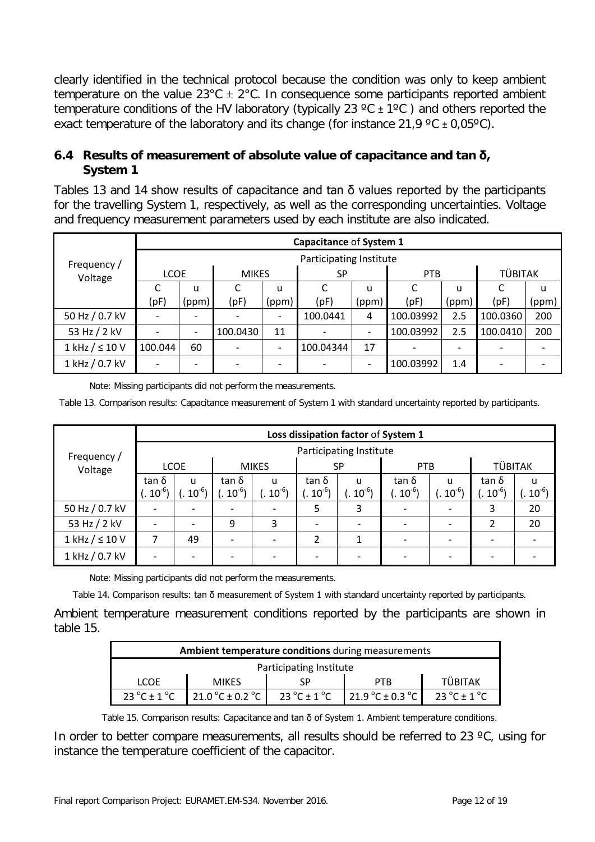clearly identified in the technical protocol because the condition was only to keep ambient temperature on the value  $23^{\circ}$ C  $\pm$  2°C. In consequence some participants reported ambient temperature conditions of the HV laboratory (typically 23  $\degree$ C  $\pm$  1 $\degree$ C) and others reported the exact temperature of the laboratory and its change (for instance 21,9  $\degree$ C  $\pm$  0,05 $\degree$ C).

### **6.4 Results of measurement of absolute value of capacitance and tan δ, System 1**

Tables 13 and 14 show results of capacitance and tan  $\delta$  values reported by the participants for the travelling System 1, respectively, as well as the corresponding uncertainties. Voltage and frequency measurement parameters used by each institute are also indicated.

|                         |             |       |              |                          | Capacitance of System 1 |                          |            |                          |                |       |
|-------------------------|-------------|-------|--------------|--------------------------|-------------------------|--------------------------|------------|--------------------------|----------------|-------|
| Frequency /             |             |       |              |                          | Participating Institute |                          |            |                          |                |       |
| Voltage                 | <b>LCOE</b> |       | <b>MIKES</b> |                          | <b>SP</b>               |                          | <b>PTB</b> |                          | <b>TÜBITAK</b> |       |
|                         |             | u     |              | u                        |                         | u                        |            | u                        |                | u     |
|                         | (pF)        | (ppm) | (pF)         | (ppm)                    | (pF)                    | (ppm)                    | (pF)       | (ppm)                    | (pF)           | (ppm) |
| 50 Hz / 0.7 kV          |             |       |              | $\overline{\phantom{a}}$ | 100.0441                | 4                        | 100.03992  | 2.5                      | 100.0360       | 200   |
| 53 Hz / 2 kV            |             |       | 100.0430     | 11                       |                         | $\overline{\phantom{a}}$ | 100.03992  | 2.5                      | 100.0410       | 200   |
| $1$ kHz $/$ $\leq$ 10 V | 100.044     | 60    |              | $\overline{\phantom{a}}$ | 100.04344               | 17                       |            | $\overline{\phantom{a}}$ |                |       |
| 1 kHz / 0.7 kV          |             |       |              |                          |                         | $\overline{\phantom{a}}$ | 100.03992  | 1.4                      |                |       |

Note: Missing participants did not perform the measurements.

Table 13. Comparison results: Capacitance measurement of System 1 with standard uncertainty reported by participants.

|                         |             | Loss dissipation factor of System 1 |              |           |                |                       |            |             |                |            |  |  |
|-------------------------|-------------|-------------------------------------|--------------|-----------|----------------|-----------------------|------------|-------------|----------------|------------|--|--|
| Frequency /             |             | Participating Institute             |              |           |                |                       |            |             |                |            |  |  |
| Voltage                 | <b>LCOE</b> |                                     | <b>MIKES</b> |           | <b>SP</b>      |                       | <b>PTB</b> |             | <b>TÜBITAK</b> |            |  |  |
|                         | tan δ       | <b>u</b>                            | tan δ        | u         | tan δ          | u                     | tan δ      | u           | tan δ          | u          |  |  |
|                         | $(10^{-6})$ | $(1.10^{-6})$                       | $.10^{-6}$   | $.10^{6}$ | $.10^{-6}$     | $\cdot \cdot 10^{-6}$ | $.10^{-6}$ | $(10^{-6})$ | $.10^{-6}$     | $.10^{-6}$ |  |  |
| 50 Hz / 0.7 kV          |             |                                     |              |           | 5.             | 3                     |            |             | 3              | 20         |  |  |
| 53 Hz / 2 kV            |             |                                     | 9            | 3         |                |                       |            |             | 2              | 20         |  |  |
| $1$ kHz $/$ $\leq$ 10 V | ⇁           | 49                                  |              |           | $\overline{2}$ |                       |            |             |                |            |  |  |
| 1 kHz / 0.7 kV          |             |                                     |              |           |                |                       |            |             |                |            |  |  |

Note: Missing participants did not perform the measurements.

Table 14. Comparison results: tan δ measurement of System 1 with standard uncertainty reported by participants.

Ambient temperature measurement conditions reported by the participants are shown in table 15.

|                                 | Ambient temperature conditions during measurements                                                       |  |            |                |  |  |  |  |  |  |  |  |
|---------------------------------|----------------------------------------------------------------------------------------------------------|--|------------|----------------|--|--|--|--|--|--|--|--|
| Participating Institute         |                                                                                                          |  |            |                |  |  |  |  |  |  |  |  |
| LCOF                            | <b>MIKES</b>                                                                                             |  | <b>PTR</b> | <b>TÜBITAK</b> |  |  |  |  |  |  |  |  |
| $23^{\circ}$ C ± 1 $^{\circ}$ C | 21.0 °C ± 0.2 °C $\parallel$<br>23 $^{\circ}$ C ± 1 $^{\circ}$ C<br>21.9 °C ± 0.3 °C<br>23 °C $\pm$ 1 °C |  |            |                |  |  |  |  |  |  |  |  |

Table 15. Comparison results: Capacitance and tan δ of System 1. Ambient temperature conditions.

In order to better compare measurements, all results should be referred to 23  $\degree$ C, using for instance the temperature coefficient of the capacitor.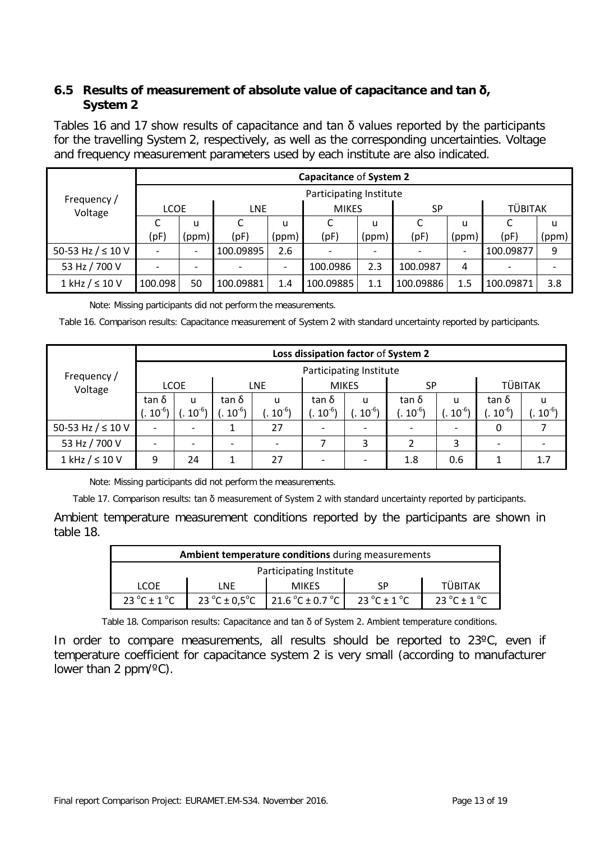### **6.5 Results of measurement of absolute value of capacitance and tan δ, System 2**

Tables 16 and 17 show results of capacitance and tan  $\delta$  values reported by the participants for the travelling System 2, respectively, as well as the corresponding uncertainties. Voltage and frequency measurement parameters used by each institute are also indicated.

| Frequency /<br>Voltage  |                         | Capacitance of System 2  |            |       |                          |                          |           |                              |                |       |  |  |  |
|-------------------------|-------------------------|--------------------------|------------|-------|--------------------------|--------------------------|-----------|------------------------------|----------------|-------|--|--|--|
|                         | Participating Institute |                          |            |       |                          |                          |           |                              |                |       |  |  |  |
|                         | <b>LCOE</b>             |                          | <b>LNE</b> |       | <b>MIKES</b>             |                          | <b>SP</b> |                              | <b>TÜBITAK</b> |       |  |  |  |
|                         |                         | u                        |            | u     |                          | u                        |           | u                            |                | u     |  |  |  |
|                         | (pF)                    | (ppm)                    | (pF)       | (ppm) | (pF)                     | (ppm)                    | (pF)      | (ppm)                        | (pF)           | (ppm) |  |  |  |
| 50-53 Hz $/ \leq 10$ V  |                         | $\overline{\phantom{0}}$ | 100.09895  | 2.6   | $\overline{\phantom{0}}$ | $\overline{\phantom{0}}$ |           | $\qquad \qquad \blacksquare$ | 100.09877      | 9     |  |  |  |
| 53 Hz / 700 V           |                         |                          |            |       | 100.0986                 | 2.3                      | 100.0987  | 4                            |                |       |  |  |  |
| $1$ kHz $/$ $\leq$ 10 V | 100.098                 | 50                       | 100.09881  | 1.4   | 100.09885                | 1.1                      | 100.09886 | 1.5                          | 100.09871      | 3.8   |  |  |  |

Note: Missing participants did not perform the measurements.

Table 16. Comparison results: Capacitance measurement of System 2 with standard uncertainty reported by participants.

|                         |             | Loss dissipation factor of System 2 |             |           |              |           |            |                       |                |            |  |  |
|-------------------------|-------------|-------------------------------------|-------------|-----------|--------------|-----------|------------|-----------------------|----------------|------------|--|--|
| Frequency /             |             | Participating Institute             |             |           |              |           |            |                       |                |            |  |  |
| Voltage                 | <b>LCOE</b> |                                     | <b>LNE</b>  |           | <b>MIKES</b> |           | SP         |                       | <b>TÜBITAK</b> |            |  |  |
|                         | tan δ       | u                                   | tan δ       | u         | tan δ        | u         | tan δ      | u                     | tan δ          | u          |  |  |
|                         | $(.10^{-6}$ | $10^{-6}$                           | $10^{-6}$ ) | $10^{-6}$ | $10^{-6}$    | $10^{-6}$ | $.10^{-6}$ | $\cdot \cdot 10^{-6}$ | $10^{-6}$      | $.10^{-6}$ |  |  |
| 50-53 Hz $/ \leq 10$ V  |             |                                     |             | 27        |              |           |            |                       | 0              |            |  |  |
| 53 Hz / 700 V           |             |                                     |             |           |              | 3         | 2          | 3                     |                |            |  |  |
| $1$ kHz $/$ $\leq$ 10 V | 9           | 24                                  |             | 27        |              |           | 1.8        | 0.6                   |                | 1.7        |  |  |

Note: Missing participants did not perform the measurements.

Table 17. Comparison results: tan δ measurement of System 2 with standard uncertainty reported by participants.

Ambient temperature measurement conditions reported by the participants are shown in table 18.

|                                 | <b>Ambient temperature conditions</b> during measurements                               |              |    |                |  |  |  |  |  |  |  |
|---------------------------------|-----------------------------------------------------------------------------------------|--------------|----|----------------|--|--|--|--|--|--|--|
| Participating Institute         |                                                                                         |              |    |                |  |  |  |  |  |  |  |
| <b>LCOE</b>                     | LNF                                                                                     | <b>MIKFS</b> | SP | <b>TÜBITAK</b> |  |  |  |  |  |  |  |
| $23^{\circ}$ C ± 1 $^{\circ}$ C | 23 °C ± 0,5 °C $\vert$ 21.6 °C ± 0.7 °C $\vert$<br>23 °C $\pm$ 1 °C<br>23 °C $\pm$ 1 °C |              |    |                |  |  |  |  |  |  |  |

Table 18. Comparison results: Capacitance and tan δ of System 2. Ambient temperature conditions.

In order to compare measurements, all results should be reported to 23°C, even if temperature coefficient for capacitance system 2 is very small (according to manufacturer lower than 2  $ppm/°C$ ).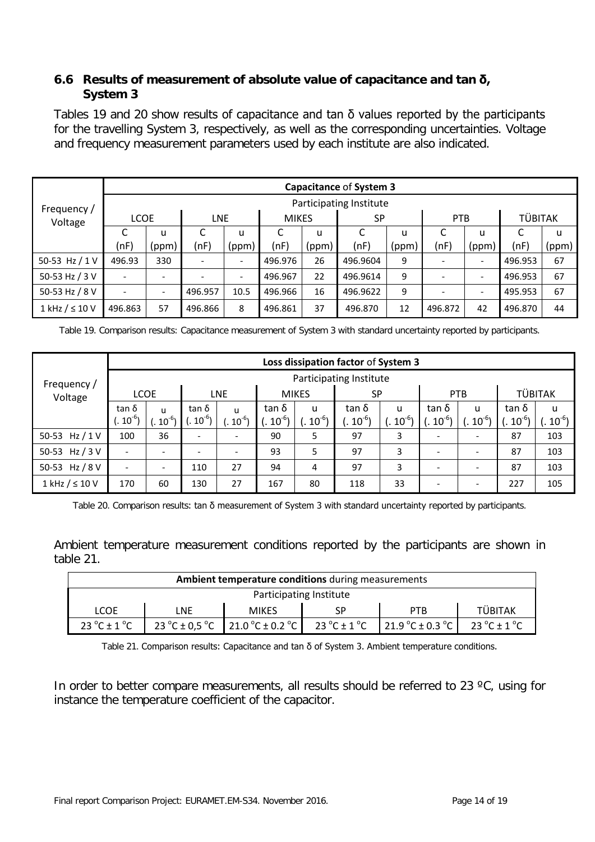### **6.6 Results of measurement of absolute value of capacitance and tan δ, System 3**

Tables 19 and 20 show results of capacitance and tan  $\delta$  values reported by the participants for the travelling System 3, respectively, as well as the corresponding uncertainties. Voltage and frequency measurement parameters used by each institute are also indicated.

|                         |             | Capacitance of System 3 |            |                          |              |       |           |       |            |                          |                |       |  |  |
|-------------------------|-------------|-------------------------|------------|--------------------------|--------------|-------|-----------|-------|------------|--------------------------|----------------|-------|--|--|
| Frequency /             |             | Participating Institute |            |                          |              |       |           |       |            |                          |                |       |  |  |
| Voltage                 | <b>LCOE</b> |                         | <b>LNE</b> |                          | <b>MIKES</b> |       | <b>SP</b> |       | <b>PTB</b> |                          | <b>TÜBITAK</b> |       |  |  |
|                         |             | u                       |            | u                        |              | u     |           | u     |            | u                        |                | u     |  |  |
|                         | (nF)        | (ppm)                   | (nF)       | (ppm)                    | (nF)         | (ppm) | (nF)      | (ppm) | (nF)       | (ppm)                    | (nF)           | (ppm) |  |  |
| 50-53 Hz $/1V$          | 496.93      | 330                     |            | $\overline{\phantom{a}}$ | 496.976      | 26    | 496.9604  | 9     |            |                          | 496.953        | 67    |  |  |
| 50-53 Hz / 3 V          |             |                         |            | $\overline{\phantom{a}}$ | 496.967      | 22    | 496.9614  | 9     |            | $\overline{\phantom{a}}$ | 496.953        | 67    |  |  |
| 50-53 Hz / 8 V          |             |                         | 496.957    | 10.5                     | 496.966      | 16    | 496.9622  | 9     |            |                          | 495.953        | 67    |  |  |
| $1$ kHz $/$ $\leq$ 10 V | 496.863     | 57                      | 496.866    | 8                        | 496.861      | 37    | 496.870   | 12    | 496.872    | 42                       | 496.870        | 44    |  |  |

Table 19. Comparison results: Capacitance measurement of System 3 with standard uncertainty reported by participants.

|                         |               | Loss dissipation factor of System 3 |            |                              |              |           |           |              |            |                              |                |           |  |
|-------------------------|---------------|-------------------------------------|------------|------------------------------|--------------|-----------|-----------|--------------|------------|------------------------------|----------------|-----------|--|
| Frequency /             |               | Participating Institute             |            |                              |              |           |           |              |            |                              |                |           |  |
| Voltage                 | <b>LCOE</b>   |                                     | <b>LNE</b> |                              | <b>MIKES</b> |           | <b>SP</b> |              | <b>PTB</b> |                              | <b>TÜBITAK</b> |           |  |
|                         | tan δ         | u                                   | tan δ      | u                            | tan δ        | u         | tan δ     | $\mathbf{u}$ | tan δ      | u                            | tan δ          | u         |  |
|                         | $(1.10^{-6})$ | $10^{-6}$                           | $10^{-6}$  | $10^{-6}$                    | $10^{-6}$ )  | $10^{-6}$ | $.10^{6}$ | $10^{-6}$    | $10^{-6}$  | $10^{-6}$                    | $10^{-6}$      | $10^{-6}$ |  |
| 50-53 Hz $/1V$          | 100           | 36                                  |            | $\overline{\phantom{0}}$     | 90           | 5         | 97        | 3            |            | $\qquad \qquad \blacksquare$ | 87             | 103       |  |
| 50-53 Hz / 3 V          |               | -                                   |            | $\qquad \qquad \blacksquare$ | 93           | 5         | 97        | 3            |            | $\qquad \qquad$              | 87             | 103       |  |
| 50-53 Hz / 8 V          |               | -                                   | 110        | 27                           | 94           | 4         | 97        | 3            |            | $\overline{\phantom{a}}$     | 87             | 103       |  |
| $1$ kHz $/$ $\leq$ 10 V | 170           | 60                                  | 130        | 27                           | 167          | 80        | 118       | 33           |            | $\overline{\phantom{0}}$     | 227            | 105       |  |

Table 20. Comparison results: tan δ measurement of System 3 with standard uncertainty reported by participants.

Ambient temperature measurement conditions reported by the participants are shown in table 21.

|                                  | Ambient temperature conditions during measurements                                                                                                              |              |  |            |                |  |  |  |  |  |  |  |
|----------------------------------|-----------------------------------------------------------------------------------------------------------------------------------------------------------------|--------------|--|------------|----------------|--|--|--|--|--|--|--|
| Participating Institute          |                                                                                                                                                                 |              |  |            |                |  |  |  |  |  |  |  |
| <b>LCOE</b>                      | LNE                                                                                                                                                             | <b>MIKES</b> |  | <b>PTB</b> | <b>TÜBITAK</b> |  |  |  |  |  |  |  |
| 23 $^{\circ}$ C ± 1 $^{\circ}$ C | 23 °C ± 0.5 °C $\vert$ 21.0 °C ± 0.2 °C $\vert$<br>21.9 °C $\pm$ 0.3 °C $\parallel$<br>23 $^{\circ}$ C $\pm$ 1 $^{\circ}$ C<br>23 $^{\circ}$ C ± 1 $^{\circ}$ C |              |  |            |                |  |  |  |  |  |  |  |

Table 21. Comparison results: Capacitance and tan  $\delta$  of System 3. Ambient temperature conditions.

In order to better compare measurements, all results should be referred to 23 °C, using for instance the temperature coefficient of the capacitor.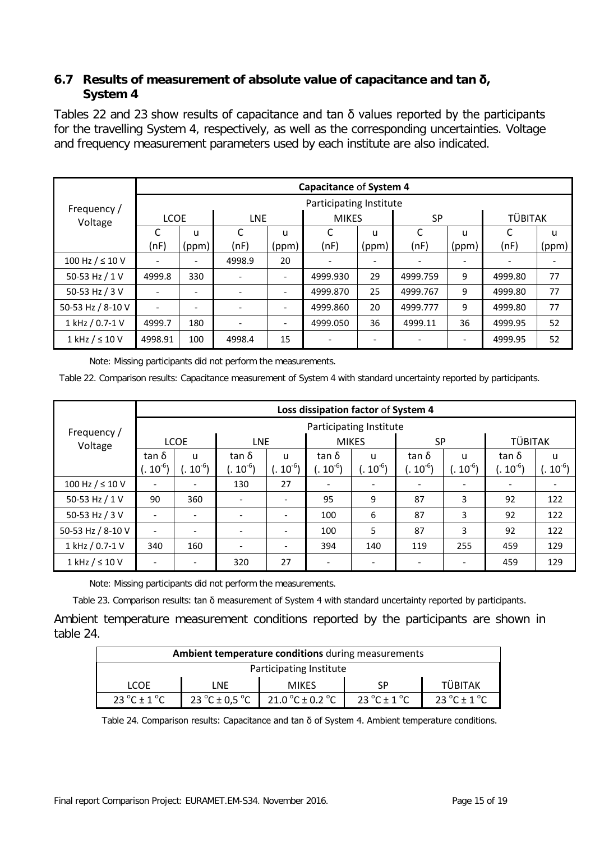### **6.7 Results of measurement of absolute value of capacitance and tan δ, System 4**

Tables 22 and 23 show results of capacitance and tan  $\delta$  values reported by the participants for the travelling System 4, respectively, as well as the corresponding uncertainties. Voltage and frequency measurement parameters used by each institute are also indicated.

|                         |             |                          |                              |                          | Capacitance of System 4 |                          |           |       |                |       |
|-------------------------|-------------|--------------------------|------------------------------|--------------------------|-------------------------|--------------------------|-----------|-------|----------------|-------|
| Frequency /             |             |                          |                              |                          | Participating Institute |                          |           |       |                |       |
| Voltage                 | <b>LCOE</b> |                          | <b>LNE</b>                   |                          | <b>MIKES</b>            |                          | <b>SP</b> |       | <b>TÜBITAK</b> |       |
|                         |             | u                        | C                            | u                        |                         | u                        | C         | u     | C              | u     |
|                         | (nF)        | (ppm)                    | (nF)                         | (ppm)                    | (nF)                    | (ppm)                    | (nF)      | (ppm) | (nF)           | (ppm) |
| 100 Hz $/$ ≤ 10 V       |             | $\overline{\phantom{a}}$ | 4998.9                       | 20                       |                         | $\overline{\phantom{a}}$ |           |       |                |       |
| 50-53 Hz / 1 V          | 4999.8      | 330                      | $\overline{\phantom{0}}$     | $\overline{\phantom{a}}$ | 4999.930                | 29                       | 4999.759  | 9     | 4999.80        | 77    |
| 50-53 Hz / 3 V          |             | $\overline{\phantom{a}}$ | $\qquad \qquad \blacksquare$ | $\overline{\phantom{a}}$ | 4999.870                | 25                       | 4999.767  | 9     | 4999.80        | 77    |
| 50-53 Hz / 8-10 V       |             | $\overline{\phantom{a}}$ | ۰                            | $\overline{\phantom{a}}$ | 4999.860                | 20                       | 4999.777  | 9     | 4999.80        | 77    |
| 1 kHz / 0.7-1 V         | 4999.7      | 180                      | $\overline{\phantom{0}}$     | $\overline{\phantom{a}}$ | 4999.050                | 36                       | 4999.11   | 36    | 4999.95        | 52    |
| $1$ kHz $/$ $\leq$ 10 V | 4998.91     | 100                      | 4998.4                       | 15                       |                         |                          |           |       | 4999.95        | 52    |

Note: Missing participants did not perform the measurements.

Table 22. Comparison results: Capacitance measurement of System 4 with standard uncertainty reported by participants.

|                         |                              | Loss dissipation factor of System 4 |                              |                          |                   |                 |                          |              |                          |             |  |  |  |
|-------------------------|------------------------------|-------------------------------------|------------------------------|--------------------------|-------------------|-----------------|--------------------------|--------------|--------------------------|-------------|--|--|--|
| Frequency /             |                              | Participating Institute             |                              |                          |                   |                 |                          |              |                          |             |  |  |  |
| Voltage                 | <b>LCOE</b>                  |                                     | <b>LNE</b>                   |                          | <b>MIKES</b>      |                 | <b>SP</b>                |              | TÜBITAK                  |             |  |  |  |
|                         | tan δ                        | u                                   | tan δ                        | $\mathbf{u}$             | tan δ             | $\mathbf{u}$    | tan δ                    | $\mathbf{u}$ | tan δ                    | u           |  |  |  |
|                         | $(.10-6)$                    | $.10^{6}$                           | $(.~10^{-6})$                | $10^{-6}$                | $( . 10^{6} )$    | $\cdot 10^{-6}$ | $(.~10^{-6})$            | $10^{-6}$    | $(.~10^{-6})$            | $(10^{-6})$ |  |  |  |
| 100 Hz $/$ ≤ 10 V       |                              |                                     | 130                          | 27                       | $\qquad \qquad -$ |                 | $\overline{\phantom{a}}$ |              | $\overline{\phantom{a}}$ |             |  |  |  |
| 50-53 Hz / 1 V          | 90                           | 360                                 |                              | $\overline{\phantom{0}}$ | 95                | 9               | 87                       | 3            | 92                       | 122         |  |  |  |
| 50-53 Hz / 3 V          | $\qquad \qquad \blacksquare$ | $\overline{\phantom{0}}$            | $\qquad \qquad \blacksquare$ | $\overline{\phantom{0}}$ | 100               | 6               | 87                       | 3            | 92                       | 122         |  |  |  |
| 50-53 Hz / 8-10 V       | $\overline{a}$               | $\overline{\phantom{0}}$            |                              | $\overline{\phantom{a}}$ | 100               | 5               | 87                       | 3            | 92                       | 122         |  |  |  |
| 1 kHz / 0.7-1 V         | 340                          | 160                                 |                              |                          | 394               | 140             | 119                      | 255          | 459                      | 129         |  |  |  |
| $1$ kHz $/$ $\leq$ 10 V |                              |                                     | 320                          | 27                       |                   |                 |                          |              | 459                      | 129         |  |  |  |

Note: Missing participants did not perform the measurements.

Table 23. Comparison results: tan δ measurement of System 4 with standard uncertainty reported by participants.

Ambient temperature measurement conditions reported by the participants are shown in table 24.

| Ambient temperature conditions during measurements |                                                                                                                                        |              |     |                |  |  |  |  |  |  |  |  |
|----------------------------------------------------|----------------------------------------------------------------------------------------------------------------------------------------|--------------|-----|----------------|--|--|--|--|--|--|--|--|
| Participating Institute                            |                                                                                                                                        |              |     |                |  |  |  |  |  |  |  |  |
| <b>LCOE</b>                                        | LNF                                                                                                                                    | <b>MIKES</b> | .SP | <b>TÜBITAK</b> |  |  |  |  |  |  |  |  |
| 23 $^{\circ}$ C ± 1 $^{\circ}$ C                   | 23 $^{\circ}$ C ± 0,5 $^{\circ}$ C<br>23 $^{\circ}$ C $\pm$ 1 $^{\circ}$ C<br>21.0 $^{\circ}$ C ± 0.2 $^{\circ}$ C<br>23 °C $\pm$ 1 °C |              |     |                |  |  |  |  |  |  |  |  |

Table 24. Comparison results: Capacitance and tan δ of System 4. Ambient temperature conditions.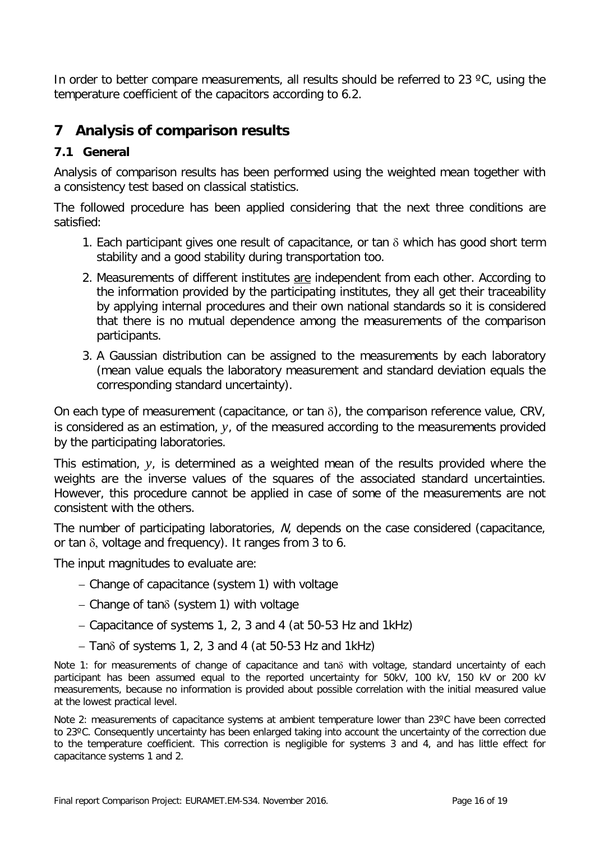In order to better compare measurements, all results should be referred to 23 °C, using the temperature coefficient of the capacitors according to 6.2.

## **7 Analysis of comparison results**

### **7.1 General**

Analysis of comparison results has been performed using the weighted mean together with a consistency test based on classical statistics.

The followed procedure has been applied considering that the next three conditions are satisfied:

- 1. Each participant gives one result of capacitance, or tan  $\delta$  which has good short term stability and a good stability during transportation too.
- 2. Measurements of different institutes are independent from each other. According to the information provided by the participating institutes, they all get their traceability by applying internal procedures and their own national standards so it is considered that there is no mutual dependence among the measurements of the comparison participants.
- 3. A Gaussian distribution can be assigned to the measurements by each laboratory (mean value equals the laboratory measurement and standard deviation equals the corresponding standard uncertainty).

On each type of measurement (capacitance, or tan δ), the comparison reference value, CRV, is considered as an estimation, *y*, of the measured according to the measurements provided by the participating laboratories.

This estimation, *y*, is determined as a weighted mean of the results provided where the weights are the inverse values of the squares of the associated standard uncertainties. However, this procedure cannot be applied in case of some of the measurements are not consistent with the others.

The number of participating laboratories, N, depends on the case considered (capacitance, or tan δ, voltage and frequency). It ranges from 3 to 6.

The input magnitudes to evaluate are:

- − Change of capacitance (system 1) with voltage
- − Change of tanδ (system 1) with voltage
- − Capacitance of systems 1, 2, 3 and 4 (at 50-53 Hz and 1kHz)
- − Tanδ of systems 1, 2, 3 and 4 (at 50-53 Hz and 1kHz)

Note 1: for measurements of change of capacitance and tanδ with voltage, standard uncertainty of each participant has been assumed equal to the reported uncertainty for 50kV, 100 kV, 150 kV or 200 kV measurements, because no information is provided about possible correlation with the initial measured value at the lowest practical level.

Note 2: measurements of capacitance systems at ambient temperature lower than 23°C have been corrected to 23ºC. Consequently uncertainty has been enlarged taking into account the uncertainty of the correction due to the temperature coefficient. This correction is negligible for systems 3 and 4, and has little effect for capacitance systems 1 and 2.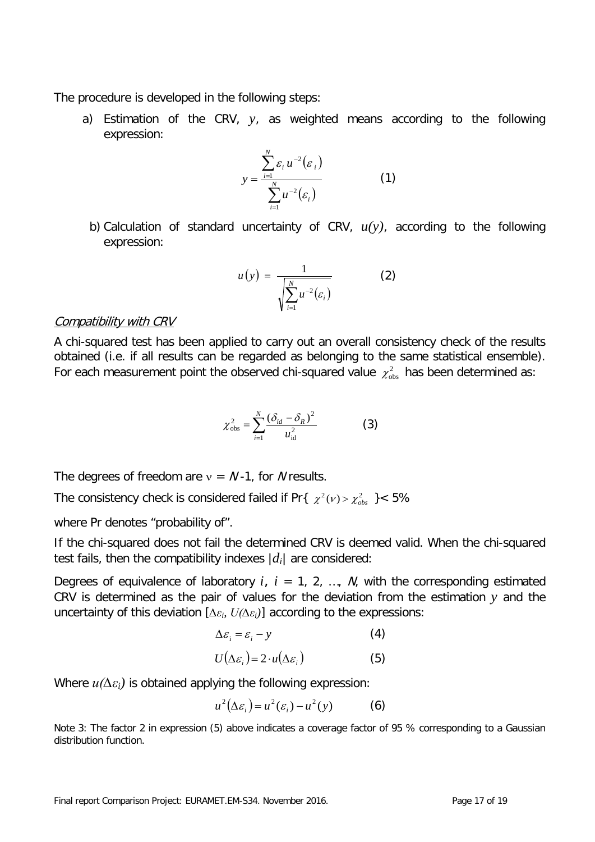The procedure is developed in the following steps:

a) Estimation of the CRV, *y*, as weighted means according to the following expression:

$$
y = \frac{\sum_{i=1}^{N} \varepsilon_i u^{-2}(\varepsilon_i)}{\sum_{i=1}^{N} u^{-2}(\varepsilon_i)}
$$
(1)

b) Calculation of standard uncertainty of CRV, *u(y)*, according to the following expression:

$$
u(y) = \frac{1}{\sqrt{\sum_{i=1}^{N} u^{-2}(\varepsilon_i)}}\tag{2}
$$

### Compatibility with CRV

A chi-squared test has been applied to carry out an overall consistency check of the results obtained (i.e. if all results can be regarded as belonging to the same statistical ensemble). For each measurement point the observed chi-squared value  $\chi^2_{obs}$  has been determined as:

$$
\chi_{\rm obs}^2 = \sum_{i=1}^N \frac{(\delta_{id} - \delta_R)^2}{u_{\rm id}^2} \tag{3}
$$

The degrees of freedom are  $v = N - 1$ , for N results.

The consistency check is considered failed if Pr $\{ \chi^2(\nu) > \chi^2_{obs} \}$  < 5%

where Pr denotes "probability of".

If the chi-squared does not fail the determined CRV is deemed valid. When the chi-squared test fails, then the compatibility indexes  $|d_i|$  are considered:

Degrees of equivalence of laboratory  $i, i = 1, 2, ..., N$ , with the corresponding estimated CRV is determined as the pair of values for the deviation from the estimation *y* and the uncertainty of this deviation [*∆εi, U(∆εi)*] according to the expressions:

$$
\Delta \varepsilon_{i} = \varepsilon_{i} - y \tag{4}
$$

$$
U(\Delta \varepsilon_i) = 2 \cdot u(\Delta \varepsilon_i)
$$
 (5)

Where *u(∆εi)* is obtained applying the following expression:

$$
u^{2}(\Delta \varepsilon_{i}) = u^{2}(\varepsilon_{i}) - u^{2}(y)
$$
 (6)

Note 3: The factor 2 in expression (5) above indicates a coverage factor of 95 % corresponding to a Gaussian distribution function.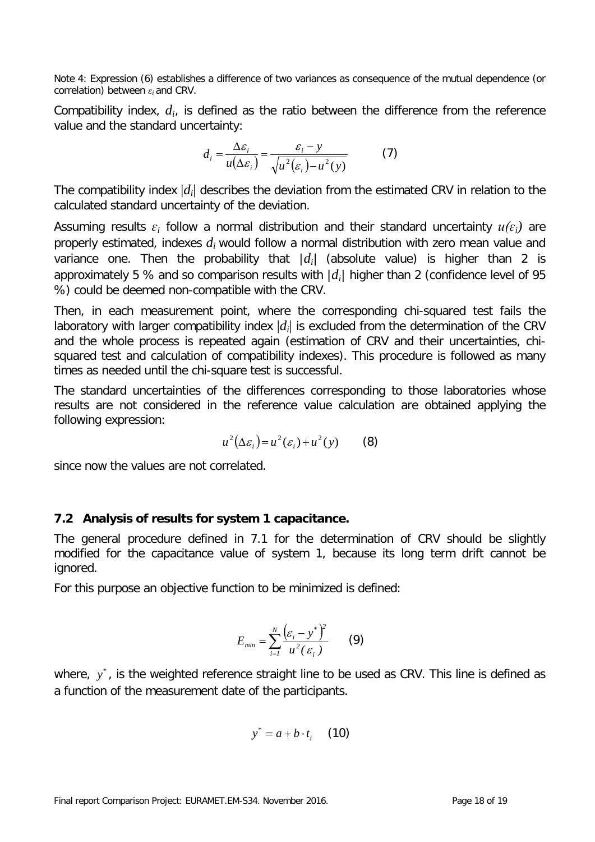Note 4: Expression (6) establishes a difference of two variances as consequence of the mutual dependence (or correlation) between *εi* and CRV.

Compatibility index, *di*, is defined as the ratio between the difference from the reference value and the standard uncertainty:

$$
d_i = \frac{\Delta \varepsilon_i}{u(\Delta \varepsilon_i)} = \frac{\varepsilon_i - y}{\sqrt{u^2(\varepsilon_i) - u^2(y)}}\tag{7}
$$

The compatibility index |*di*| describes the deviation from the estimated CRV in relation to the calculated standard uncertainty of the deviation.

Assuming results  $\varepsilon_i$  follow a normal distribution and their standard uncertainty  $u(\varepsilon_i)$  are properly estimated, indexes *di* would follow a normal distribution with zero mean value and variance one. Then the probability that  $|d_i|$  (absolute value) is higher than 2 is approximately 5 % and so comparison results with  $|d_i|$  higher than 2 (confidence level of 95 %) could be deemed non-compatible with the CRV.

Then, in each measurement point, where the corresponding chi-squared test fails the laboratory with larger compatibility index  $|d_i|$  is excluded from the determination of the CRV and the whole process is repeated again (estimation of CRV and their uncertainties, chisquared test and calculation of compatibility indexes). This procedure is followed as many times as needed until the chi-square test is successful.

The standard uncertainties of the differences corresponding to those laboratories whose results are not considered in the reference value calculation are obtained applying the following expression:

$$
u^{2}(\Delta \varepsilon_{i}) = u^{2}(\varepsilon_{i}) + u^{2}(y) \qquad (8)
$$

since now the values are not correlated.

### **7.2 Analysis of results for system 1 capacitance.**

The general procedure defined in 7.1 for the determination of CRV should be slightly modified for the capacitance value of system 1, because its long term drift cannot be ignored.

For this purpose an objective function to be minimized is defined:

$$
E_{min} = \sum_{i=1}^{N} \frac{(\varepsilon_i - y^*)^2}{u^2(\varepsilon_i)} \qquad (9)
$$

where,  $y^*$ , is the weighted reference straight line to be used as CRV. This line is defined as a function of the measurement date of the participants.

$$
y^* = a + b \cdot t_i \quad (10)
$$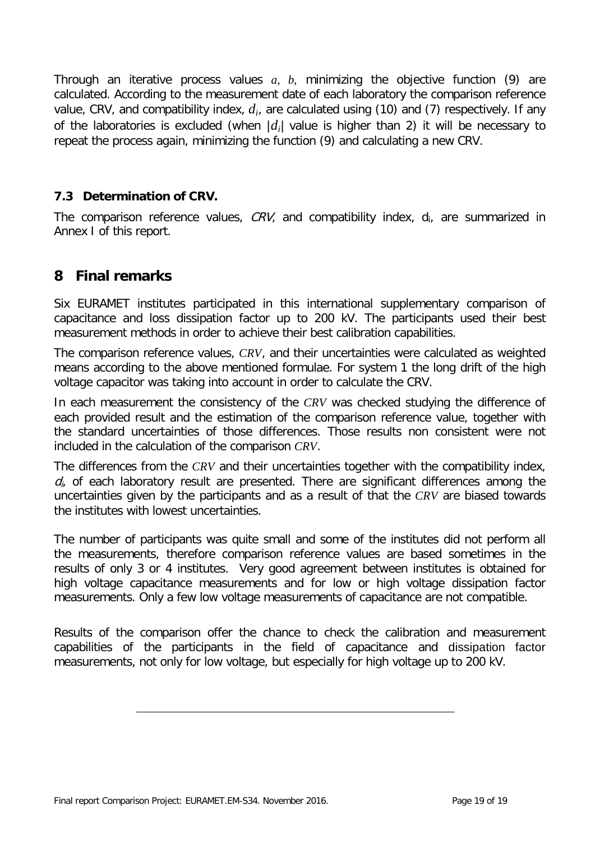Through an iterative process values *a*, *b,* minimizing the objective function (9) are calculated. According to the measurement date of each laboratory the comparison reference value, CRV, and compatibility index, *di*, are calculated using (10) and (7) respectively. If any of the laboratories is excluded (when  $|d_i|$  value is higher than 2) it will be necessary to repeat the process again, minimizing the function (9) and calculating a new CRV.

### **7.3 Determination of CRV.**

The comparison reference values,  $CRV$ , and compatibility index,  $d_i$ , are summarized in Annex I of this report.

### **8 Final remarks**

Six EURAMET institutes participated in this international supplementary comparison of capacitance and loss dissipation factor up to 200 kV. The participants used their best measurement methods in order to achieve their best calibration capabilities.

The comparison reference values, *CRV*, and their uncertainties were calculated as weighted means according to the above mentioned formulae. For system 1 the long drift of the high voltage capacitor was taking into account in order to calculate the CRV.

In each measurement the consistency of the *CRV* was checked studying the difference of each provided result and the estimation of the comparison reference value, together with the standard uncertainties of those differences. Those results non consistent were not included in the calculation of the comparison *CRV*.

The differences from the *CRV* and their uncertainties together with the compatibility index,  $d_i$  of each laboratory result are presented. There are significant differences among the uncertainties given by the participants and as a result of that the *CRV* are biased towards the institutes with lowest uncertainties.

The number of participants was quite small and some of the institutes did not perform all the measurements, therefore comparison reference values are based sometimes in the results of only 3 or 4 institutes. Very good agreement between institutes is obtained for high voltage capacitance measurements and for low or high voltage dissipation factor measurements. Only a few low voltage measurements of capacitance are not compatible.

Results of the comparison offer the chance to check the calibration and measurement capabilities of the participants in the field of capacitance and dissipation factor measurements, not only for low voltage, but especially for high voltage up to 200 kV.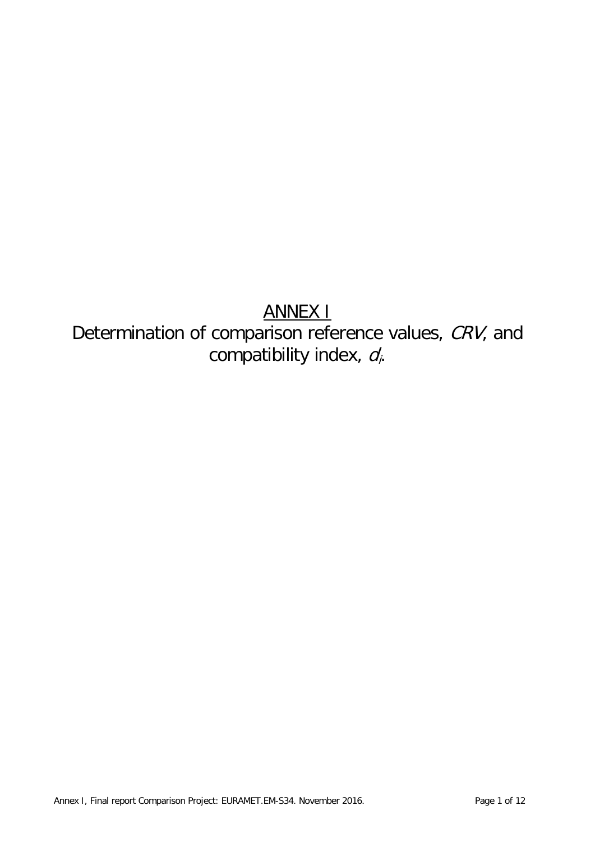# ANNEX I

# Determination of comparison reference values, CRV, and compatibility index, d<sub>i</sub>.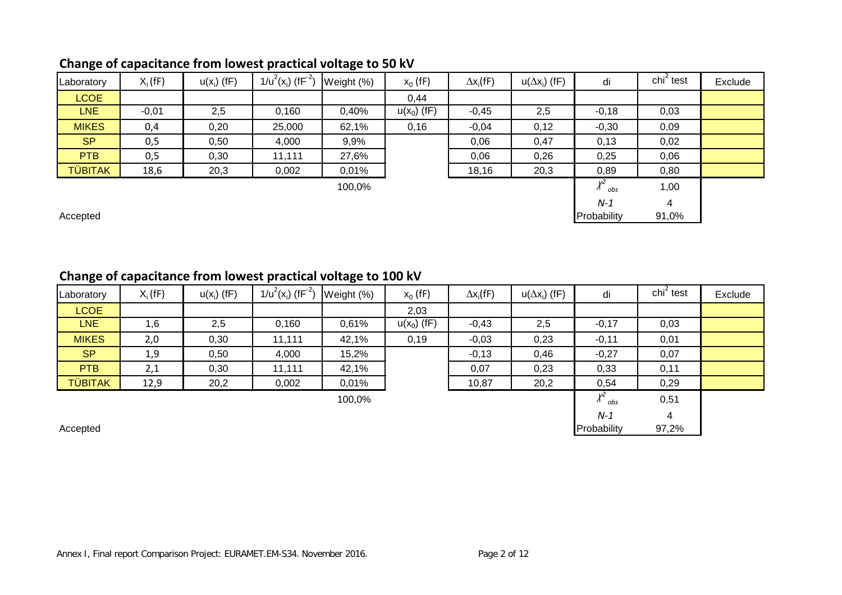| Laboratory     | $X_i$ (fF) | $u(x_i)$ (fF) | $1/u^2(x_i)$ (fF <sup>-2</sup> ) | Weight (%) | $x_0$ (fF)    | $\Delta x_i$ (fF) | $u(\Delta x_i)$ (fF) | di                      | $\chi$ chi <sup>2</sup> test | Exclude |
|----------------|------------|---------------|----------------------------------|------------|---------------|-------------------|----------------------|-------------------------|------------------------------|---------|
| LCOE           |            |               |                                  |            | 0.44          |                   |                      |                         |                              |         |
| <b>LNE</b>     | $-0,01$    | 2,5           | 0,160                            | 0,40%      | $u(x_0)$ (fF) | $-0,45$           | 2,5                  | $-0,18$                 | 0,03                         |         |
| <b>MIKES</b>   | 0,4        | 0,20          | 25,000                           | 62,1%      | 0,16          | $-0,04$           | 0,12                 | $-0,30$                 | 0,09                         |         |
| <b>SP</b>      | 0,5        | 0,50          | 4,000                            | 9,9%       |               | 0,06              | 0,47                 | 0,13                    | 0,02                         |         |
| <b>PTB</b>     | 0,5        | 0,30          | 11,111                           | 27,6%      |               | 0,06              | 0,26                 | 0,25                    | 0,06                         |         |
| <b>TÜBITAK</b> | 18,6       | 20,3          | 0,002                            | $0,01\%$   |               | 18,16             | 20,3                 | 0,89                    | 0,80                         |         |
|                |            |               |                                  | 100,0%     |               |                   |                      | $\chi^2$ <sub>obs</sub> | 1,00                         |         |
|                |            |               |                                  |            |               |                   |                      | $N-1$                   | 4                            |         |
| Accepted       |            |               |                                  |            |               |                   |                      | Probability             | 91,0%                        |         |

## **Change of capacitance from lowest practical voltage to 50 kV**

### **Change of capacitance from lowest practical voltage to 100 kV**

| Laboratory     | $X_i$ (fF) | $u(x_i)$ (fF) | $1/u^2(x_i)$ (fF <sup>-2</sup> ) | Weight (%) | $x_0$ (fF)    | $\Delta x_i$ (fF) | $u(\Delta x_i)$ (fF) | di                      | $\mathsf{chi}^2$ test | Exclude |
|----------------|------------|---------------|----------------------------------|------------|---------------|-------------------|----------------------|-------------------------|-----------------------|---------|
| <b>LCOE</b>    |            |               |                                  |            | 2,03          |                   |                      |                         |                       |         |
| LNE            | 1,6        | 2,5           | 0,160                            | 0,61%      | $u(x_0)$ (fF) | $-0,43$           | 2,5                  | $-0,17$                 | 0,03                  |         |
| <b>MIKES</b>   | 2,0        | 0,30          | 11,111                           | 42,1%      | 0,19          | $-0,03$           | 0,23                 | $-0,11$                 | 0,01                  |         |
| <b>SP</b>      | 1,9        | 0,50          | 4,000                            | 15,2%      |               | $-0,13$           | 0,46                 | $-0,27$                 | 0,07                  |         |
| PTB            | 2,1        | 0,30          | 11,111                           | 42,1%      |               | 0,07              | 0,23                 | 0,33                    | 0,11                  |         |
| <b>TÜBITAK</b> | 12,9       | 20,2          | 0,002                            | 0,01%      |               | 10,87             | 20,2                 | 0,54                    | 0,29                  |         |
|                |            |               |                                  | 100,0%     |               |                   |                      | $\chi^2$ <sub>obs</sub> | 0,51                  |         |
|                |            |               |                                  |            |               |                   |                      | $N-1$                   | 4                     |         |
| Accepted       |            |               |                                  |            |               |                   |                      | Probability             | 97,2%                 |         |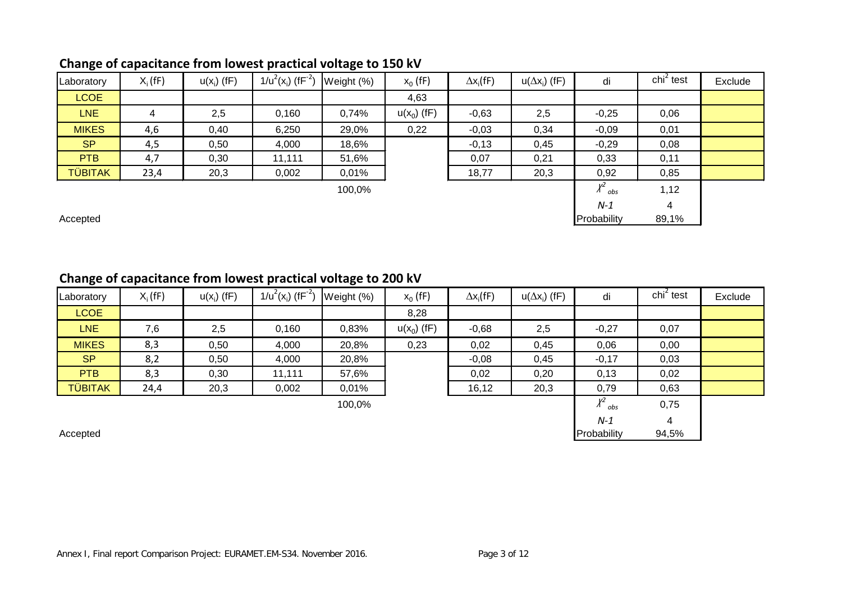## **Change of capacitance from lowest practical voltage to 150 kV**

| Laboratory     | $X_i$ (fF)     | $u(x_i)$ (fF) | $1/u^2(x_i)$ (fF <sup>-2</sup> ) | Weight (%) | $x_0$ (fF)    | $\Delta x_i$ (fF) | $u(\Delta x_i)$ (fF) | di                      | $\chi$ chi <sup>2</sup> test | Exclude |
|----------------|----------------|---------------|----------------------------------|------------|---------------|-------------------|----------------------|-------------------------|------------------------------|---------|
| <b>LCOE</b>    |                |               |                                  |            | 4,63          |                   |                      |                         |                              |         |
| <b>LNE</b>     | $\overline{4}$ | 2,5           | 0,160                            | 0,74%      | $u(x_0)$ (fF) | $-0,63$           | 2,5                  | $-0,25$                 | 0,06                         |         |
| <b>MIKES</b>   | 4,6            | 0,40          | 6,250                            | 29,0%      | 0,22          | $-0,03$           | 0,34                 | $-0,09$                 | 0,01                         |         |
| <b>SP</b>      | 4,5            | 0,50          | 4,000                            | 18,6%      |               | $-0,13$           | 0,45                 | $-0,29$                 | 0,08                         |         |
| <b>PTB</b>     | 4,7            | 0,30          | 11,111                           | 51,6%      |               | 0,07              | 0,21                 | 0,33                    | 0,11                         |         |
| <b>TÜBITAK</b> | 23,4           | 20,3          | 0,002                            | 0,01%      |               | 18,77             | 20,3                 | 0,92                    | 0,85                         |         |
|                |                |               |                                  | 100,0%     |               |                   |                      | $\chi^2$ <sub>obs</sub> | 1,12                         |         |
|                |                |               |                                  |            |               |                   |                      | $N-1$                   | 4                            |         |
| Accepted       |                |               |                                  |            |               |                   |                      | Probability             | 89,1%                        |         |

## **Change of capacitance from lowest practical voltage to 200 kV**

| Laboratory     | $X_i$ (fF) | $u(x_i)$ (fF) | $1/u^2(x_i)$ (fF <sup>-2</sup> ) | Weight (%) | $x_0$ (fF)    | $\Delta x_i(fF)$ | $u(\Delta x_i)$ (fF) | di                      | $\mathsf{chi}^2$ test | Exclude |
|----------------|------------|---------------|----------------------------------|------------|---------------|------------------|----------------------|-------------------------|-----------------------|---------|
| <b>LCOE</b>    |            |               |                                  |            | 8,28          |                  |                      |                         |                       |         |
| LNE            | 7,6        | 2,5           | 0,160                            | 0,83%      | $u(x_0)$ (fF) | $-0,68$          | 2,5                  | $-0,27$                 | 0,07                  |         |
| <b>MIKES</b>   | 8,3        | 0,50          | 4,000                            | 20,8%      | 0,23          | 0,02             | 0,45                 | 0,06                    | 0,00                  |         |
| <b>SP</b>      | 8,2        | 0,50          | 4,000                            | 20,8%      |               | $-0,08$          | 0,45                 | $-0,17$                 | 0,03                  |         |
| <b>PTB</b>     | 8,3        | 0,30          | 11,111                           | 57,6%      |               | 0,02             | 0,20                 | 0,13                    | 0,02                  |         |
| <b>TÜBITAK</b> | 24,4       | 20,3          | 0,002                            | 0,01%      |               | 16,12            | 20,3                 | 0,79                    | 0,63                  |         |
|                |            |               |                                  | 100,0%     |               |                  |                      | $\chi^2$ <sub>obs</sub> | 0,75                  |         |
|                |            |               |                                  |            |               |                  |                      | $N-1$                   | 4                     |         |
| Accepted       |            |               |                                  |            |               |                  |                      | Probability             | 94,5%                 |         |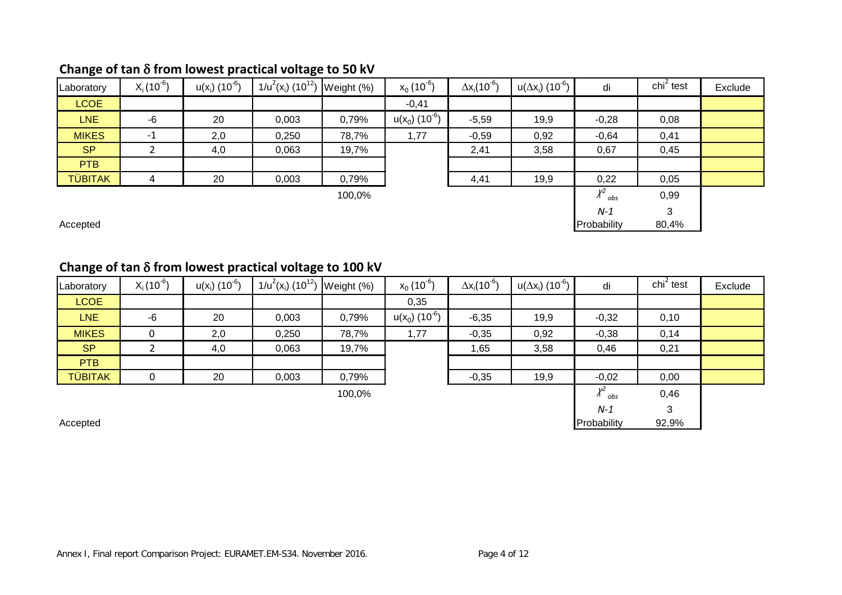## **Change of tan** δ **from lowest practical voltage to 50 kV**

| Laboratory     | $X_i(10^{-6})$ | $u(x_i)$ (10 <sup>-6</sup> ) | $1/u^2(x_i)$ (10 <sup>12</sup> ) | Weight (%) | $x_0(10^{-6})$               | $\Delta x_i(10^{-6})$ | $u(\Delta x_i)$ (10 <sup>-6</sup> ) | di                      | $\mathsf{chi}^2$ test | Exclude |
|----------------|----------------|------------------------------|----------------------------------|------------|------------------------------|-----------------------|-------------------------------------|-------------------------|-----------------------|---------|
| <b>LCOE</b>    |                |                              |                                  |            | $-0,41$                      |                       |                                     |                         |                       |         |
| <b>LNE</b>     | $-6$           | 20                           | 0,003                            | 0,79%      | $u(x_0)$ (10 <sup>-6</sup> ) | $-5,59$               | 19,9                                | $-0,28$                 | 0,08                  |         |
| <b>MIKES</b>   | $-1$           | 2,0                          | 0,250                            | 78,7%      | 1,77                         | $-0,59$               | 0,92                                | $-0,64$                 | 0,41                  |         |
| <b>SP</b>      |                | 4,0                          | 0,063                            | 19,7%      |                              | 2,41                  | 3,58                                | 0,67                    | 0,45                  |         |
| <b>PTB</b>     |                |                              |                                  |            |                              |                       |                                     |                         |                       |         |
| <b>TÜBITAK</b> | 4              | 20                           | 0,003                            | 0,79%      |                              | 4,41                  | 19,9                                | 0,22                    | 0,05                  |         |
|                |                |                              |                                  | 100,0%     |                              |                       |                                     | $\chi^2$ <sub>obs</sub> | 0,99                  |         |
|                |                |                              |                                  |            |                              |                       |                                     | $N-1$                   | 3                     |         |
| Accepted       |                |                              |                                  |            |                              |                       |                                     | Probability             | 80,4%                 |         |

# **Change of tan** δ **from lowest practical voltage to 100 kV**

| Laboratory     | $X_i(10^{-6})$ | $u(x_i)$ (10 <sup>-6</sup> ) | $1/u^2(x_i)$ (10 <sup>12</sup> ) | Weight (%) | $x_0(10^{-6})$               | $\Delta x_i (10^{-6})$ | $u(\Delta x_i)$ (10 <sup>-6</sup> ) | di                      | $\chi$ chi <sup>2</sup> test | Exclude |
|----------------|----------------|------------------------------|----------------------------------|------------|------------------------------|------------------------|-------------------------------------|-------------------------|------------------------------|---------|
| <b>LCOE</b>    |                |                              |                                  |            | 0,35                         |                        |                                     |                         |                              |         |
| LNE            | $-6$           | 20                           | 0,003                            | 0,79%      | $u(x_0)$ (10 <sup>-6</sup> ) | $-6,35$                | 19,9                                | $-0,32$                 | 0,10                         |         |
| <b>MIKES</b>   | 0              | 2,0                          | 0,250                            | 78,7%      | 1,77                         | $-0,35$                | 0,92                                | $-0,38$                 | 0,14                         |         |
| <b>SP</b>      |                | 4,0                          | 0,063                            | 19,7%      |                              | 1,65                   | 3,58                                | 0,46                    | 0,21                         |         |
| <b>PTB</b>     |                |                              |                                  |            |                              |                        |                                     |                         |                              |         |
| <b>TÜBITAK</b> | 0              | 20                           | 0,003                            | 0,79%      |                              | $-0,35$                | 19,9                                | $-0,02$                 | 0,00                         |         |
|                |                |                              |                                  | 100,0%     |                              |                        |                                     | $\chi^2$ <sub>obs</sub> | 0,46                         |         |
|                |                |                              |                                  |            |                              |                        |                                     | $N-1$                   | 3                            |         |
| Accepted       |                |                              |                                  |            |                              |                        |                                     | Probability             | 92,9%                        |         |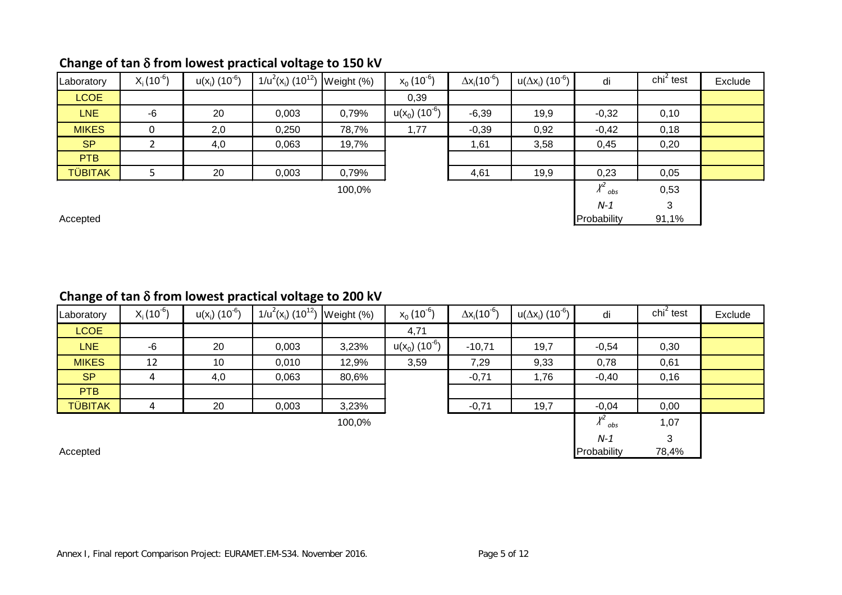| Laboratory     | $X_i(10^{b})$ | $u(x_i)$ (10 <sup>-6</sup> ) | $1/u^{2}(x_{i})$ (10 <sup>12</sup> ) Weight (%) |        | $x_0(10^{-6})$                         | $\Delta x_i(10^{-6})$ | $u(\Delta x_i)$ (10 <sup>-6</sup> ) | di                      | $\chi$ chi <sup>2</sup> test | Exclude |
|----------------|---------------|------------------------------|-------------------------------------------------|--------|----------------------------------------|-----------------------|-------------------------------------|-------------------------|------------------------------|---------|
| <b>LCOE</b>    |               |                              |                                                 |        | 0,39                                   |                       |                                     |                         |                              |         |
| <b>LNE</b>     | $-6$          | 20                           | 0,003                                           | 0,79%  | u(x <sub>0</sub> ) (10 <sup>-6</sup> ) | $-6,39$               | 19,9                                | $-0,32$                 | 0,10                         |         |
| <b>MIKES</b>   | 0             | 2,0                          | 0,250                                           | 78,7%  | 1,77                                   | $-0,39$               | 0,92                                | $-0,42$                 | 0,18                         |         |
| <b>SP</b>      |               | 4,0                          | 0,063                                           | 19,7%  |                                        | 1,61                  | 3,58                                | 0,45                    | 0,20                         |         |
| <b>PTB</b>     |               |                              |                                                 |        |                                        |                       |                                     |                         |                              |         |
| <b>TÜBITAK</b> |               | 20                           | 0,003                                           | 0,79%  |                                        | 4,61                  | 19,9                                | 0,23                    | 0,05                         |         |
|                |               |                              |                                                 | 100,0% |                                        |                       |                                     | $\chi^2$ <sub>obs</sub> | 0,53                         |         |
|                |               |                              |                                                 |        |                                        |                       |                                     | $N-1$                   | 3                            |         |
| Accepted       |               |                              |                                                 |        |                                        |                       |                                     | Probability             | 91,1%                        |         |

## **Change of tan** δ **from lowest practical voltage to 150 kV**

### **Change of tan** δ **from lowest practical voltage to 200 kV**

| Laboratory     | $X_i(10^{-6})$ | $u(x_i)$ (10 <sup>-6</sup> ) | $1/u^{2}(x_{i})$ (10 <sup>12</sup> ) Weight (%) |        | $x_0(10^{-6})$                         | $\Delta x_i (10^{-6})$ | $u(\Delta x_i)$ (10 <sup>-6</sup> ) | di                      | $\chi$ chi <sup>2</sup> test | Exclude |
|----------------|----------------|------------------------------|-------------------------------------------------|--------|----------------------------------------|------------------------|-------------------------------------|-------------------------|------------------------------|---------|
| <b>LCOE</b>    |                |                              |                                                 |        | 4,71                                   |                        |                                     |                         |                              |         |
| <b>LNE</b>     | -6             | 20                           | 0,003                                           | 3,23%  | u(x <sub>0</sub> ) (10 <sup>-6</sup> ) | $-10,71$               | 19,7                                | $-0,54$                 | 0,30                         |         |
| <b>MIKES</b>   | 12             | 10                           | 0,010                                           | 12,9%  | 3,59                                   | 7,29                   | 9,33                                | 0,78                    | 0,61                         |         |
| <b>SP</b>      | 4              | 4,0                          | 0,063                                           | 80,6%  |                                        | $-0,71$                | 1,76                                | $-0,40$                 | 0,16                         |         |
| <b>PTB</b>     |                |                              |                                                 |        |                                        |                        |                                     |                         |                              |         |
| <b>TÜBITAK</b> | 4              | 20                           | 0,003                                           | 3,23%  |                                        | $-0,71$                | 19,7                                | $-0,04$                 | 0,00                         |         |
|                |                |                              |                                                 | 100,0% |                                        |                        |                                     | $\chi^2$ <sub>obs</sub> | 1,07                         |         |
|                |                |                              |                                                 |        |                                        |                        |                                     | $N-1$                   | 3                            |         |
| Accepted       |                |                              |                                                 |        |                                        |                        |                                     | Probability             | 78,4%                        |         |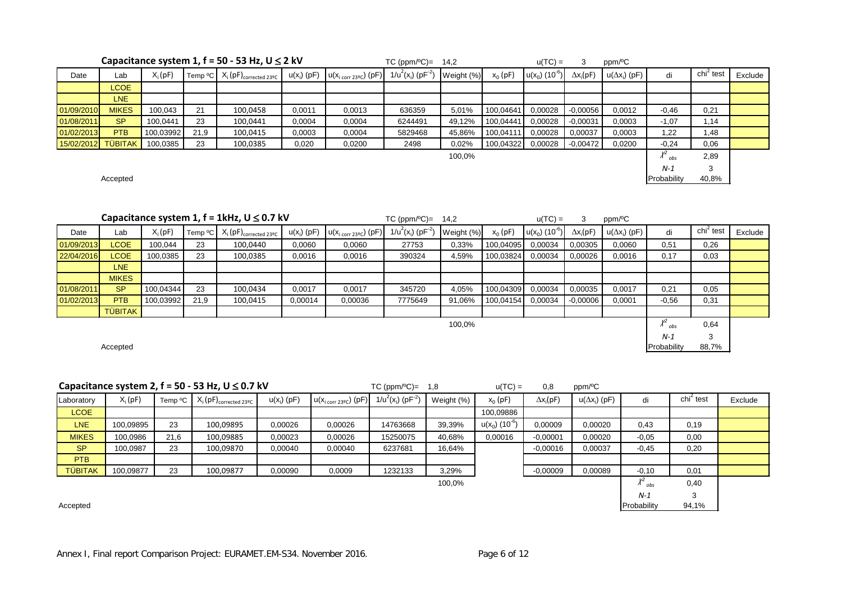|            | Capacitance system 1, $f = 50 - 53$ Hz, $U \le 2$ kV |           |      |                                                                         |               |                                    | $TC (ppm/°C) =$                  | 14.2          |           | $u(TC) =$                    | 3                | ppm/ <sup>o</sup> C  |             |                          |         |
|------------|------------------------------------------------------|-----------|------|-------------------------------------------------------------------------|---------------|------------------------------------|----------------------------------|---------------|-----------|------------------------------|------------------|----------------------|-------------|--------------------------|---------|
| Date       | Lab                                                  | $X_i(pF)$ |      | Temp <sup>o</sup> C $\mid X_i(pF)_{\text{corrected } 23\degree C} \mid$ | $u(x_i)$ (pF) | $u(x_{i \text{ corr } 23°C})$ (pF) | $1/u^2(x_i)$ (pF <sup>-2</sup> ) | Weight $(\%)$ | $x_0(pF)$ | $u(x_0)$ (10 <sup>-6</sup> ) | $\Delta x_i(pF)$ | $u(\Delta x_i)$ (pF) | di          | $\mathsf{chi}^2$<br>test | Exclude |
|            | <b>LCOE</b>                                          |           |      |                                                                         |               |                                    |                                  |               |           |                              |                  |                      |             |                          |         |
|            | LNE                                                  |           |      |                                                                         |               |                                    |                                  |               |           |                              |                  |                      |             |                          |         |
| 01/09/2010 | <b>MIKES</b>                                         | 100,043   | 21   | 100,0458                                                                | 0,0011        | 0,0013                             | 636359                           | 5,01%         | 100,04641 | 0,00028                      | $-0,00056$       | 0,0012               | $-0.46$     | 0,21                     |         |
| 01/08/2011 | <b>SP</b>                                            | 100,0441  | 23   | 100,0441                                                                | 0,0004        | 0,0004                             | 6244491                          | 49,12%        | 100,04441 | 0,00028                      | $-0,00031$       | 0,0003               | $-1,07$     | 1,14                     |         |
| 01/02/2013 | <b>PTB</b>                                           | 100,03992 | 21,9 | 100,0415                                                                | 0,0003        | 0,0004                             | 5829468                          | 45,86%        | 100,04111 | 0,00028                      | 0,00037          | 0,0003               | 1,22        | 1,48                     |         |
| 15/02/2012 | <b>TÜBITAK</b>                                       | 100,0385  | 23   | 100,0385                                                                | 0,020         | 0,0200                             | 2498                             | 0,02%         | 100,04322 | 0,00028                      | $-0.00472$       | 0,0200               | $-0,24$     | 0,06                     |         |
|            |                                                      |           |      |                                                                         |               |                                    |                                  | 100,0%        |           |                              |                  |                      | obs         | 2,89                     |         |
|            |                                                      |           |      |                                                                         |               |                                    |                                  |               |           |                              |                  |                      | $N-1$       | 3                        |         |
|            | Accepted                                             |           |      |                                                                         |               |                                    |                                  |               |           |                              |                  |                      | Probability | 40,8%                    |         |

|            | Capacitance system 1, $f = 1$ kHz, $U \le 0.7$ kV |           |      |                                               |               |                                    | $TC (ppm/°C) =$                  | 14,2       |           | $u(TC) =$                    | 3                | ppm/ <sup>o</sup> C  |                         |                       |         |
|------------|---------------------------------------------------|-----------|------|-----------------------------------------------|---------------|------------------------------------|----------------------------------|------------|-----------|------------------------------|------------------|----------------------|-------------------------|-----------------------|---------|
| Date       | Lab                                               | $X_i(pF)$ |      | Temp ${}^{\circ}C$ $X_i(pF)_{corrected 23°C}$ | $u(x_i)$ (pF) | $u(x_{i \text{ corr } 23°C})$ (pF) | $1/u^2(x_i)$ (pF <sup>-2</sup> ) | Weight (%) | $x_0(pF)$ | $u(x_0)$ (10 <sup>-6</sup> ) | $\Delta x_i(pF)$ | $u(\Delta x_i)$ (pF) | di                      | chi <sup>2</sup> test | Exclude |
| 01/09/2013 | <b>LCOE</b>                                       | 100,044   | 23   | 100,0440                                      | 0,0060        | 0,0060                             | 27753                            | 0,33%      | 100,04095 | 0,00034                      | 0.00305          | 0,0060               | 0,51                    | 0,26                  |         |
| 22/04/2016 | LCOE                                              | 100,0385  | 23   | 100,0385                                      | 0,0016        | 0,0016                             | 390324                           | 4,59%      | 100,03824 | 0,00034                      | 0,00026          | 0,0016               | 0,17                    | 0,03                  |         |
|            | LNE                                               |           |      |                                               |               |                                    |                                  |            |           |                              |                  |                      |                         |                       |         |
|            | <b>MIKES</b>                                      |           |      |                                               |               |                                    |                                  |            |           |                              |                  |                      |                         |                       |         |
| 01/08/2011 | <b>SP</b>                                         | 100,04344 | 23   | 100,0434                                      | 0,0017        | 0,0017                             | 345720                           | 4,05%      | 100,04309 | 0,00034                      | 0,00035          | 0,0017               | 0,21                    | 0,05                  |         |
| 01/02/2013 | <b>PTB</b>                                        | 100,03992 | 21,9 | 100,0415                                      | 0,00014       | 0,00036                            | 7775649                          | 91,06%     | 100,04154 | 0,00034                      | $-0.00006$       | 0,0001               | $-0.56$                 | 0,31                  |         |
|            | <b>TÜBITAK</b>                                    |           |      |                                               |               |                                    |                                  |            |           |                              |                  |                      |                         |                       |         |
|            |                                                   |           |      |                                               |               |                                    |                                  | 100,0%     |           |                              |                  |                      | $\chi^2$ <sub>obs</sub> | 0.64                  |         |
|            |                                                   |           |      |                                               |               |                                    |                                  |            |           |                              |                  |                      | N-1                     | 3                     |         |

| Accepted | Probability |  | 88.7% |  |
|----------|-------------|--|-------|--|
|----------|-------------|--|-------|--|

|                | Capacitance system 2, $f = 50 - 53$ Hz, $U \le 0.7$ kV |                     |                                          |               |                                            | $TC (ppm/°C) =$                  | 1.8        | $u(TC) =$                    | 0.8              | ppm/ <sup>o</sup> C  |         |                       |         |
|----------------|--------------------------------------------------------|---------------------|------------------------------------------|---------------|--------------------------------------------|----------------------------------|------------|------------------------------|------------------|----------------------|---------|-----------------------|---------|
| Laboratory     | $X_i(pF)$                                              | Temp <sup>o</sup> C | $X_i(pF)_{\text{corrected }23\degree C}$ | $u(x_i)$ (pF) | $ u(X_{i \text{ corr } 23\degree c})$ (pF) | $1/u^2(x_i)$ (pF <sup>-2</sup> ) | Weight (%) | $x_0(pF)$                    | $\Delta x_i(pF)$ | $u(\Delta x_i)$ (pF) | di      | chi <sup>2</sup> test | Exclude |
| <b>LCOE</b>    |                                                        |                     |                                          |               |                                            |                                  |            | 100,09886                    |                  |                      |         |                       |         |
| <b>LNE</b>     | 100,09895                                              | 23                  | 100,09895                                | 0,00026       | 0,00026                                    | 14763668                         | 39,39%     | $u(x_0)$ (10 <sup>-6</sup> ) | 0,00009          | 0,00020              | 0,43    | 0,19                  |         |
| <b>MIKES</b>   | 100.0986                                               | 21,6                | 100,09885                                | 0,00023       | 0,00026                                    | 15250075                         | 40,68%     | 0,00016                      | $-0,00001$       | 0,00020              | $-0.05$ | 0,00                  |         |
| <b>SP</b>      | 100.0987                                               | 23                  | 100,09870                                | 0,00040       | 0,00040                                    | 6237681                          | 16,64%     |                              | $-0.00016$       | 0,00037              | $-0,45$ | 0,20                  |         |
| <b>PTB</b>     |                                                        |                     |                                          |               |                                            |                                  |            |                              |                  |                      |         |                       |         |
| <b>TÜBITAK</b> | 100,09877                                              | 23                  | 100,09877                                | 0,00090       | 0,0009                                     | 1232133                          | 3,29%      |                              | $-0.00009$       | 0,00089              | $-0,10$ | 0,01                  |         |
| 100,0%         |                                                        |                     |                                          |               |                                            |                                  |            |                              |                  | obs                  | 0,40    |                       |         |
|                |                                                        |                     |                                          |               |                                            |                                  |            | $N-1$                        | 3                |                      |         |                       |         |

Accepted Probability 94,1%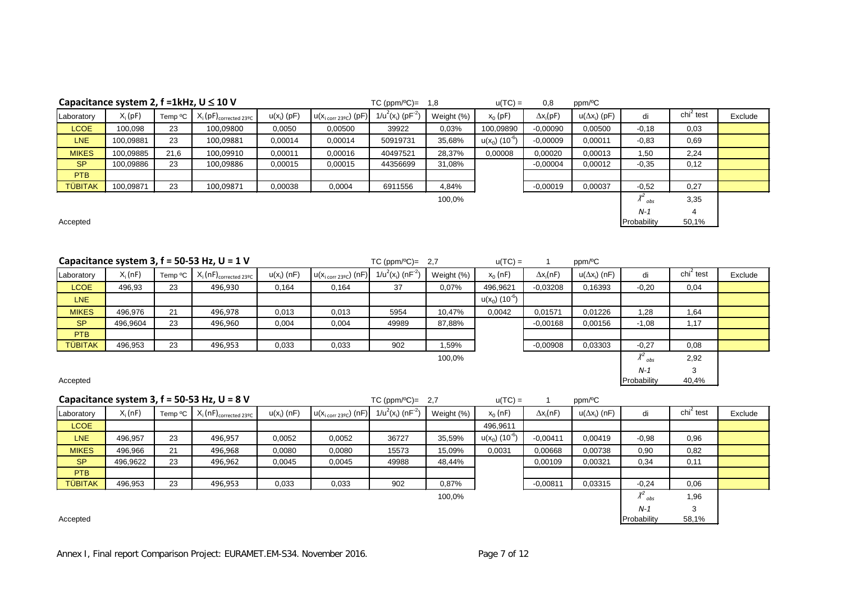| Capacitance system 2, $f = 1kHz$ , $U \le 10V$ |           |                     |                                          |               |                                    | $TC (ppm/°C) =$                  | 1,8        | $u(TC) =$                    | 0,8              | ppm/ <sup>o</sup> C  |             |                              |         |
|------------------------------------------------|-----------|---------------------|------------------------------------------|---------------|------------------------------------|----------------------------------|------------|------------------------------|------------------|----------------------|-------------|------------------------------|---------|
| Laboratory                                     | $X_i(pF)$ | Temp <sup>o</sup> C | $X_i(pF)_{\text{corrected }23\degree C}$ | $u(x_i)$ (pF) | $u(x_{i \text{ corr } 23°C})$ (pF) | $1/u^2(x_i)$ (pF <sup>-2</sup> ) | Weight (%) | $x_0(pF)$                    | $\Delta x_i(pF)$ | $u(\Delta x_i)$ (pF) | di          | $\chi$ chi <sup>2</sup> test | Exclude |
| <b>LCOE</b>                                    | 100,098   | 23                  | 100,09800                                | 0,0050        | 0,00500                            | 39922                            | 0,03%      | 100,09890                    | $-0.00090$       | 0,00500              | $-0,18$     | 0,03                         |         |
| <b>LNE</b>                                     | 100,09881 | 23                  | 100,09881                                | 0,00014       | 0,00014                            | 50919731                         | 35,68%     | $u(x_0)$ (10 <sup>-6</sup> ) | $-0,00009$       | 0,00011              | $-0.83$     | 0,69                         |         |
| <b>MIKES</b>                                   | 100,09885 | 21,6                | 100,09910                                | 0.00011       | 0.00016                            | 40497521                         | 28,37%     | 0,00008                      | 0.00020          | 0,00013              | 1,50        | 2,24                         |         |
| <b>SP</b>                                      | 100,09886 | 23                  | 100,09886                                | 0,00015       | 0,00015                            | 44356699                         | 31,08%     |                              | $-0,00004$       | 0,00012              | $-0.35$     | 0,12                         |         |
| <b>PTB</b>                                     |           |                     |                                          |               |                                    |                                  |            |                              |                  |                      |             |                              |         |
| <b>TÜBITAK</b>                                 | 100,09871 | 23                  | 100,09871                                | 0,00038       | 0,0004                             | 6911556                          | 4,84%      |                              | $-0,00019$       | 0,00037              | $-0.52$     | 0,27                         |         |
| 100,0%                                         |           |                     |                                          |               |                                    |                                  |            |                              |                  | obs                  | 3,35        |                              |         |
|                                                |           |                     |                                          |               |                                    |                                  |            |                              |                  |                      | $N-1$       | 4                            |         |
| Accepted                                       |           |                     |                                          |               |                                    |                                  |            |                              |                  |                      | Probability | 50,1%                        |         |

**Capacitance system 3, f = 50-53 Hz, U = 1 V**  $TC(ppm/\textdegree C) = 2.7$  $u(TC) = 1$  **ppm/** $\textdegree C$ Laboratory  $X_i$  (nF) Temp °C  $X_i$  (nF)<sub>corrected 23°C</sub> u(x<sub>i</sub>) (nF)  $u(x_{i \text{ corr } 23°C})$  (nF)  $1/u^{2}(x_{i})$  (nF<sup>-2</sup>) Weight (%)  $x_0$  (nF)  $\Delta x_i(nF)$  $(nF)$  u( $\Delta x_i$ ) (nF) di chi<sup>2</sup>  $\frac{c}{i}$  test Exclude <mark>LCOE </mark> 496,93 | 23 | 496,930 | 0,164 | 0,164 | 37 | 0,07% |496,9621 |-0,03208 | 0,16393 | -0,20 | 0,04  $\begin{array}{|c|c|c|c|c|c|c|c|c|}\hline \textbf{LNE} & & & \textbf{u}(\textbf{x}_0) \ (10^{-6}) & & & \textbf{u}(\textbf{x}_0) \end{array}$ <mark>MIKES |</mark> 496,976 | 21 | 496,978 | 0,013 | 0,013 | 5954 | 10,47% | 0,0042 | 0,01571 | 0,01226 | 1,28 | 1,64 <mark>SP |</mark> 496,9604 | 23 | 496,960 | 0,004 | 0,004 | 49989 | 87,88% | | -0,00168 | 0,00156 | -1,08 | 1,17 **PTB**<br>TÜBITAK <mark>TÜBITAK |</mark> 496,953 | 23 | 496,953 | 0,033 | 0,033 | 902 | 1,59% | -0,00908 | 0,03303 | -0,27 | 0,08 100,0%  $\chi^2$ <sub>obs</sub> *obs* 2,92 *N-1* 3

Accepted Probability 40,4%

|                | Capacitance system 3, $f = 50-53$ Hz, $U = 8$ V |         |                                          |               |                                           | $TC (ppm/°C) =$                  | -2.7       | $u(TC) =$                    |                  | ppm/ <sup>o</sup> C  |                 |                              |         |
|----------------|-------------------------------------------------|---------|------------------------------------------|---------------|-------------------------------------------|----------------------------------|------------|------------------------------|------------------|----------------------|-----------------|------------------------------|---------|
| Laboratory     | $X_i(nF)$                                       | Temp °C | $X_i(nF)_{\text{corrected }23\degree C}$ | $u(x_i)$ (nF) | $u(x_{i \text{ corr } 23\degree c})$ (nF) | $1/u^2(x_i)$ (nF <sup>-2</sup> ) | Weight (%) | $x_0(nF)$                    | $\Delta x_i(nF)$ | $u(\Delta x_i)$ (nF) | di              | $\chi$ chi <sup>2</sup> test | Exclude |
| <b>LCOE</b>    |                                                 |         |                                          |               |                                           |                                  |            | 496,9611                     |                  |                      |                 |                              |         |
| <b>LNE</b>     | 496.957                                         | 23      | 496,957                                  | 0,0052        | 0,0052                                    | 36727                            | 35,59%     | $u(x_0)$ (10 <sup>-6</sup> ) | $-0.00411$       | 0.00419              | $-0.98$         | 0,96                         |         |
| <b>MIKES</b>   | 496,966                                         | 21      | 496,968                                  | 0,0080        | 0,0080                                    | 15573                            | 15,09%     | 0,0031                       | 0,00668          | 0,00738              | 0,90            | 0,82                         |         |
| <b>SP</b>      | 496,9622                                        | 23      | 496,962                                  | 0,0045        | 0,0045                                    | 49988                            | 48,44%     |                              | 0,00109          | 0,00321              | 0,34            | 0,11                         |         |
| <b>PTB</b>     |                                                 |         |                                          |               |                                           |                                  |            |                              |                  |                      |                 |                              |         |
| <b>TÜBITAK</b> | 496,953                                         | 23      | 496,953                                  | 0,033         | 0,033                                     | 902                              | 0,87%      |                              | $-0,00811$       | 0.03315              | $-0,24$         | 0,06                         |         |
| 100,0%         |                                                 |         |                                          |               |                                           |                                  |            |                              |                  |                      | $^{\prime}$ obs | 1,96                         |         |
|                |                                                 |         |                                          |               |                                           |                                  |            |                              |                  |                      | $N-1$           | ິ                            |         |

Accepted Probability 58,1%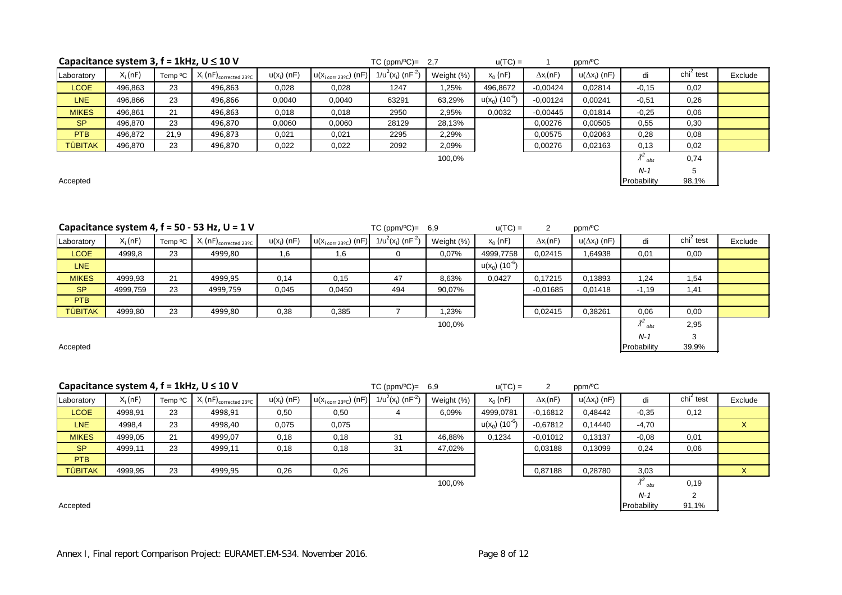#### <mark>SP |</mark> 496,870 | 23 | 496,870 | 0,0060 | 0,0060 | 28129 | 28,13% | | 0,00276 | 0,00505 | 0,55 | 0,30 <mark>PTB |</mark> 496,872 | 21,9 | 496,873 | 0,021 | 0,021 | 2295 | 2,29% | | 0,00575 | 0,02063 | 0,28 | 0,08

Laboratory  $X_i$  (nF) Temp  ${}^o\text{C}$   $X_i$  (nF)<sub>corrected 23ºC</sub> u(x<sub>i</sub>) (nF)

Accepted Probability 98,1% and the set of the contract of the contract of the probability 98,1% and the set of the contract of the contract of the contract of the contract of the contract of the contract of the contract of

|                | Capacitance system 4, $f = 50 - 53$ Hz, $U = 1$ V |         |                                          |               |                                           | $TC (ppm/°C) = 6.9$              |            | $u(TC) =$                    |                  | ppm/ <sup>o</sup> C  |             |                       |         |
|----------------|---------------------------------------------------|---------|------------------------------------------|---------------|-------------------------------------------|----------------------------------|------------|------------------------------|------------------|----------------------|-------------|-----------------------|---------|
| Laboratory     | $X_i(nF)$                                         | Temp °C | $X_i(nF)_{\text{corrected }23\degree C}$ | $u(x_i)$ (nF) | $u(x_{i \text{ corr } 23\degree c})$ (nF) | $1/u^2(x_i)$ (nF <sup>-2</sup> ) | Weight (%) | $x_0(nF)$                    | $\Delta x_i(nF)$ | $u(\Delta x_i)$ (nF) | di          | chi <sup>2</sup> test | Exclude |
| <b>LCOE</b>    | 4999,8                                            | 23      | 4999,80                                  | 1,6           | ,6                                        | 0                                | 0,07%      | 4999,7758                    | 0.02415          | 1,64938              | 0,01        | 0,00                  |         |
| LNE            |                                                   |         |                                          |               |                                           |                                  |            | $u(x_0)$ (10 <sup>-6</sup> ) |                  |                      |             |                       |         |
| <b>MIKES</b>   | 4999,93                                           | 21      | 4999,95                                  | 0,14          | 0,15                                      | 47                               | 8,63%      | 0,0427                       | 0.17215          | 0.13893              | 1,24        | 1,54                  |         |
| <b>SP</b>      | 4999,759                                          | 23      | 4999,759                                 | 0,045         | 0,0450                                    | 494                              | 90,07%     |                              | $-0.01685$       | 0,01418              | $-1,19$     | 1,41                  |         |
| <b>PTB</b>     |                                                   |         |                                          |               |                                           |                                  |            |                              |                  |                      |             |                       |         |
| <b>TÜBITAK</b> | 4999,80                                           | 23      | 4999,80                                  | 0,38          | 0,385                                     |                                  | 1,23%      |                              | 0.02415          | 0,38261              | 0,06        | 0,00                  |         |
|                |                                                   |         |                                          |               |                                           |                                  | 100,0%     |                              |                  |                      | obs         | 2,95                  |         |
|                |                                                   |         |                                          |               |                                           |                                  |            |                              |                  |                      | $N-1$       | 3                     |         |
| Accepted       |                                                   |         |                                          |               |                                           |                                  |            |                              |                  |                      | Probability | 39,9%                 |         |

 $1/u^2(x_i)$  (nF<sup>-2</sup>)

<mark>LCOE |</mark> 496,863 | 23 | 496,863 | 0,028 | 0,028 | 1247 | 1,25% | 496,8672 | -0,00424 | 0,02814 | -0,15 | 0,02 <mark>LNE |</mark> 496,866 | 23 | 496,866 | 0,0040 | 0,0040 | 63291 | 63,29% |u(x<sub>0</sub>) (10<sup>-6</sup>) | -0,00124 | 0,00241 | -0,51 | 0,26 <mark>MIKES |</mark> 496,861 | 21 | 496,863 | 0,018 | 0,018 | 2950 | 2,95% | 0,0032 | 0,00445 | 0,01814 | -0,25 | 0,06

<mark>TUBITAK |</mark> 496,870 | 23 | 496,870 | 0,022 | 0,022 | 2092 | 2,09% | 0,00276 | 0,02163 | 0,13 | 0,02

Weight (%)  $x_0$  (nF)  $\Delta x_i(nF)$ 

100,0%

 $(nF)$  u( $\Delta x_i$ ) (nF) di chi<sup>2</sup>

 $\chi^2$ <sub>obs</sub>

*N-1* 5

 $\frac{c}{i}$  test Exclude

*obs* 0,74

**Capacitance system 3, f = 1kHz, U** ≤ **10 V** TC (ppm/ºC)= 2,7 u(TC) = <sup>1</sup> ppm/ºC

 $\mathsf{u}(\mathsf{x}_{\mathsf{i} \text{ corr 23°C}})$  (nF)

|                |           |                     | Capacitance system 4, $f = 1$ kHz, U $\leq 10$ V |               |                                    | $TC (ppm/°C) =$                  | 6.9        | $u(TC) =$                    | 2                | ppm/ <sup>o</sup> C  |           |                       |         |
|----------------|-----------|---------------------|--------------------------------------------------|---------------|------------------------------------|----------------------------------|------------|------------------------------|------------------|----------------------|-----------|-----------------------|---------|
| Laboratory     | $X_i(nF)$ | Temp <sup>o</sup> C | $X_i(nF)_{\text{corrected }23\text{°C}}$         | $u(x_i)$ (nF) | $u(x_{i \text{ corr } 23°C})$ (nF) | $1/u^2(x_i)$ (nF <sup>-2</sup> ) | Weight (%) | $x_0(nF)$                    | $\Delta x_i(nF)$ | $u(\Delta x_i)$ (nF) | di        | chi <sup>2</sup> test | Exclude |
| <b>LCOE</b>    | 4998,91   | 23                  | 4998,91                                          | 0,50          | 0,50                               |                                  | 6,09%      | 4999,0781                    | $-0,16812$       | 0,48442              | $-0,35$   | 0,12                  |         |
| LNE            | 4998,4    | 23                  | 4998,40                                          | 0,075         | 0,075                              |                                  |            | $u(x_0)$ (10 <sup>-6</sup> ) | $-0.67812$       | 0.14440              | $-4,70$   |                       | X       |
| <b>MIKES</b>   | 4999,05   | 21                  | 4999,07                                          | 0,18          | 0,18                               | 31                               | 46,88%     | 0,1234                       | $-0.01012$       | 0,13137              | $-0.08$   | 0,01                  |         |
| <b>SP</b>      | 4999,11   | 23                  | 4999,11                                          | 0,18          | 0,18                               | 31                               | 47,02%     |                              | 0.03188          | 0,13099              | 0,24      | 0,06                  |         |
| PTB            |           |                     |                                                  |               |                                    |                                  |            |                              |                  |                      |           |                       |         |
| <b>TÜBITAK</b> | 4999,95   | 23                  | 4999,95                                          | 0,26          | 0,26                               |                                  |            |                              | 0,87188          | 0,28780              | 3,03      |                       | X       |
| 100,0%         |           |                     |                                                  |               |                                    |                                  |            |                              |                  |                      | $A_{obs}$ | 0,19                  |         |
|                |           |                     |                                                  |               |                                    |                                  |            |                              | $N-1$            |                      |           |                       |         |

Accepted Probability 91,1%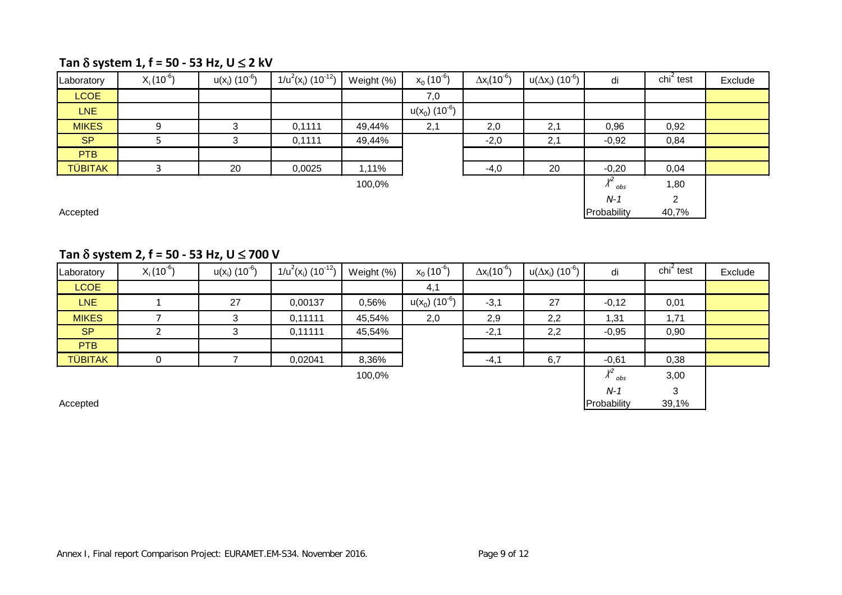### **Tan** δ **system 1, f = 50 - 53 Hz, U** ≤ **2 kV**

| Laboratory     | $X_i(10^{-6})$ | $u(x_i)$ (10 <sup>-6</sup> ) | $1/u^2(x_i)$ (10 <sup>-12</sup> ) | Weight (%) | $x_0(10^{-6})$               | $\Delta x_i (10^{-6})$ | $u(\Delta x_i)$ (10 <sup>-6</sup> ) | di                          | chi <sup>2</sup> test | Exclude |
|----------------|----------------|------------------------------|-----------------------------------|------------|------------------------------|------------------------|-------------------------------------|-----------------------------|-----------------------|---------|
| <b>LCOE</b>    |                |                              |                                   |            | 7,0                          |                        |                                     |                             |                       |         |
| <b>LNE</b>     |                |                              |                                   |            | $u(x_0)$ (10 <sup>-6</sup> ) |                        |                                     |                             |                       |         |
| <b>MIKES</b>   | 9              | າ                            | 0,1111                            | 49,44%     | 2,1                          | 2,0                    | 2,1                                 | 0,96                        | 0,92                  |         |
| <b>SP</b>      |                | 3                            | 0,1111                            | 49,44%     |                              | $-2,0$                 | 2,1                                 | $-0,92$                     | 0,84                  |         |
| <b>PTB</b>     |                |                              |                                   |            |                              |                        |                                     |                             |                       |         |
| <b>TÜBITAK</b> |                | 20                           | 0,0025                            | 1,11%      |                              | $-4,0$                 | 20                                  | $-0,20$                     | 0,04                  |         |
|                |                |                              |                                   | 100,0%     |                              |                        |                                     | v <sup>2</sup><br>$A_{obs}$ | 1,80                  |         |
|                |                |                              |                                   |            |                              |                        |                                     | $N-1$                       | ◠                     |         |

Accepted Probability 40,7% (Probability 40,7%)

### **Tan** δ **system 2, f = 50 - 53 Hz, U** ≤ **700 V**

| Laboratory     | $X_i(10^{-6})$ | $u(x_i)$ (10 <sup>-6</sup> ) | $1/u^2(x_i)$ (10 <sup>-12</sup> ) | Weight (%) | $x_0(10^{-6})$               | $\Delta x_i(10^{-6})$ | $u(\Delta x_i)$ (10 <sup>-6</sup> ) | di              | $\chi$ chi <sup>2</sup> test | Exclude |
|----------------|----------------|------------------------------|-----------------------------------|------------|------------------------------|-----------------------|-------------------------------------|-----------------|------------------------------|---------|
| <b>LCOE</b>    |                |                              |                                   |            | 4,1                          |                       |                                     |                 |                              |         |
| <b>LNE</b>     |                | 27                           | 0,00137                           | 0,56%      | $u(x_0)$ (10 <sup>-6</sup> ) | $-3,1$                | 27                                  | $-0,12$         | 0,01                         |         |
| <b>MIKES</b>   |                | 3                            | 0,11111                           | 45,54%     | 2,0                          | 2,9                   | 2,2                                 | 1,31            | 1,71                         |         |
| <b>SP</b>      |                | 3                            | 0,11111                           | 45,54%     |                              | $-2,1$                | 2,2                                 | $-0,95$         | 0,90                         |         |
| <b>PTB</b>     |                |                              |                                   |            |                              |                       |                                     |                 |                              |         |
| <b>TÜBITAK</b> | $\Omega$       |                              | 0,02041                           | 8,36%      |                              | $-4,1$                | 6,7                                 | $-0,61$         | 0,38                         |         |
|                |                |                              |                                   | 100,0%     |                              |                       |                                     | γ2<br>$A_{obs}$ | 3,00                         |         |
|                |                |                              |                                   |            |                              |                       |                                     | $N-1$           | 3                            |         |
| Accepted       |                |                              |                                   |            |                              |                       |                                     | Probability     | 39,1%                        |         |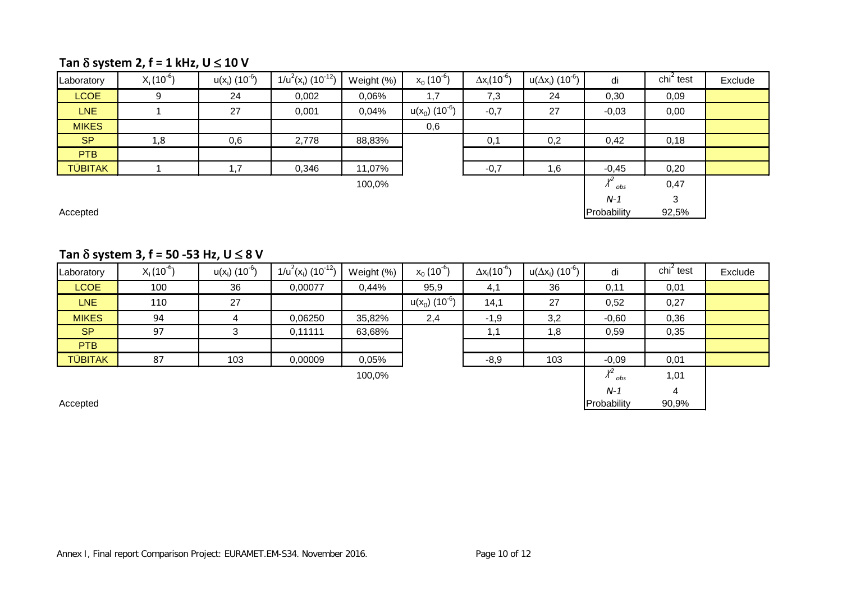## **Tan** δ **system 2, f = 1 kHz, U** ≤ **10 V**

| Laboratory     | $X_i(10^{-6})$ | $u(x_i)$ (10 <sup>-6</sup> ) | $1/u^2(x_i)$ (10 <sup>-12</sup> ) | Weight (%) | $x_0(10^{-6})$               | $\Delta x_i(10^{-6})$ | $u(\Delta x_i)$ (10 <sup>-6</sup> ) | di        | $\chi$ chi <sup>2</sup> test | Exclude |
|----------------|----------------|------------------------------|-----------------------------------|------------|------------------------------|-----------------------|-------------------------------------|-----------|------------------------------|---------|
| <b>LCOE</b>    | 9              | 24                           | 0,002                             | 0,06%      | 1,7                          | 7,3                   | 24                                  | 0,30      | 0,09                         |         |
| LNE            |                | 27                           | 0,001                             | 0,04%      | $u(x_0)$ (10 <sup>-6</sup> ) | $-0,7$                | 27                                  | $-0,03$   | 0,00                         |         |
| <b>MIKES</b>   |                |                              |                                   |            | 0,6                          |                       |                                     |           |                              |         |
| <b>SP</b>      | 1,8            | 0,6                          | 2,778                             | 88,83%     |                              | 0,1                   | 0,2                                 | 0,42      | 0,18                         |         |
| <b>PTB</b>     |                |                              |                                   |            |                              |                       |                                     |           |                              |         |
| <b>TÜBITAK</b> |                | .7                           | 0,346                             | 11,07%     |                              | $-0,7$                | 1,6                                 | $-0,45$   | 0,20                         |         |
|                |                |                              |                                   | 100,0%     |                              |                       |                                     | v2<br>obs | 0,47                         |         |
|                |                |                              |                                   |            |                              |                       |                                     | $N-1$     | ર                            |         |

*N-1* 3<br>Probability 92,5% Accepted Probability 92,5%

### **Tan** δ **system 3, f = 50 -53 Hz, U** ≤ **8 V**

| Laboratory     | $X_i(10^{-6})$ | $u(x_i)$ (10 <sup>-6</sup> ) | $1/u^2(x_i)$ (10 <sup>-12</sup> ) | Weight (%) | $x_0(10^{-6})$               | $\Delta x_i (10^{-6})$ | $u(\Delta x_i)$ (10 <sup>-6</sup> ) | di              | $\chi$ chi <sup>2</sup> test | Exclude |
|----------------|----------------|------------------------------|-----------------------------------|------------|------------------------------|------------------------|-------------------------------------|-----------------|------------------------------|---------|
| <b>LCOE</b>    | 100            | 36                           | 0,00077                           | 0,44%      | 95,9                         | 4,1                    | 36                                  | 0,11            | 0,01                         |         |
| <b>LNE</b>     | 110            | 27                           |                                   |            | $u(x_0)$ (10 <sup>-6</sup> ) | 14,1                   | 27                                  | 0,52            | 0,27                         |         |
| <b>MIKES</b>   | 94             |                              | 0,06250                           | 35,82%     | 2,4                          | $-1,9$                 | 3,2                                 | $-0,60$         | 0,36                         |         |
| <b>SP</b>      | 97             | 3                            | 0,11111                           | 63,68%     |                              | 1,1                    | 1,8                                 | 0,59            | 0,35                         |         |
| <b>PTB</b>     |                |                              |                                   |            |                              |                        |                                     |                 |                              |         |
| <b>TÜBITAK</b> | 87             | 103                          | 0,00009                           | 0,05%      |                              | $-8,9$                 | 103                                 | $-0,09$         | 0,01                         |         |
|                |                |                              |                                   | 100,0%     |                              |                        |                                     | v2<br>$A_{obs}$ | 1,01                         |         |
|                |                |                              |                                   |            |                              |                        |                                     | $N-1$           | 4                            |         |
| Accepted       |                |                              |                                   |            |                              |                        |                                     | Probability     | 90,9%                        |         |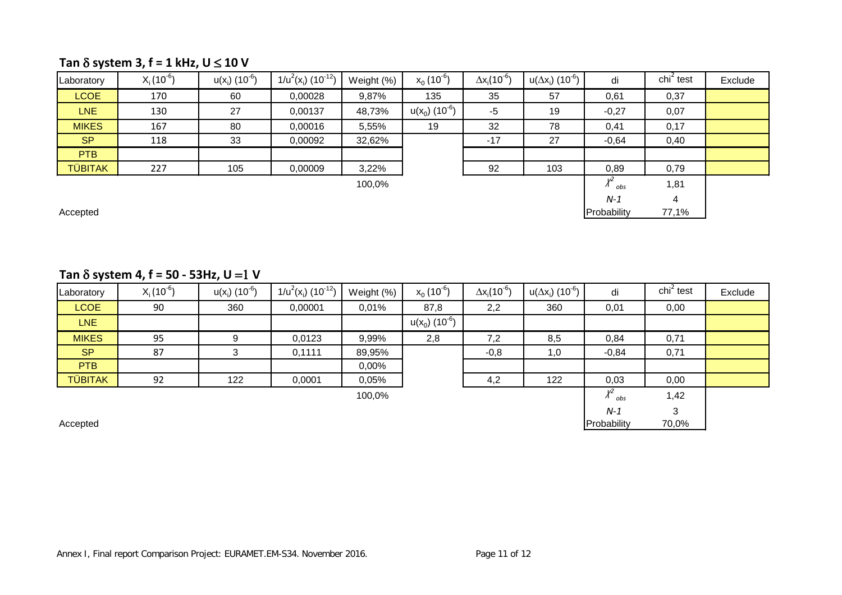## **Tan** δ **system 3, f = 1 kHz, U** ≤ **10 V**

| Laboratory     | $X_i(10^{-6})$ | $u(x_i)$ (10 <sup>-6</sup> ) | $1/u^2(x_i)$ (10 <sup>-12</sup> ) | Weight (%) | $x_0(10^{-6})$               | $\Delta x_i (10^{-6})$ | $u(\Delta x_i)$ (10 <sup>-6</sup> ) i | di                      | $\chi$ chi <sup>2</sup> test | Exclude |
|----------------|----------------|------------------------------|-----------------------------------|------------|------------------------------|------------------------|---------------------------------------|-------------------------|------------------------------|---------|
| <b>LCOE</b>    | 170            | 60                           | 0,00028                           | 9,87%      | 135                          | 35                     | 57                                    | 0,61                    | 0,37                         |         |
| <b>LNE</b>     | 130            | 27                           | 0,00137                           | 48,73%     | $u(x_0)$ (10 <sup>-6</sup> ) | $-5$                   | 19                                    | $-0,27$                 | 0,07                         |         |
| <b>MIKES</b>   | 167            | 80                           | 0,00016                           | 5,55%      | 19                           | 32                     | 78                                    | 0,41                    | 0,17                         |         |
| <b>SP</b>      | 118            | 33                           | 0,00092                           | 32,62%     |                              | $-17$                  | 27                                    | $-0,64$                 | 0,40                         |         |
| <b>PTB</b>     |                |                              |                                   |            |                              |                        |                                       |                         |                              |         |
| <b>TÜBITAK</b> | 227            | 105                          | 0,00009                           | 3,22%      |                              | 92                     | 103                                   | 0,89                    | 0,79                         |         |
|                |                |                              |                                   | 100,0%     |                              |                        |                                       | $\chi^2$ <sub>obs</sub> | 1,81                         |         |
|                |                |                              |                                   |            |                              |                        |                                       | $N-1$                   | 4                            |         |
| Accepted       |                |                              |                                   |            |                              |                        |                                       | Probability             | 77,1%                        |         |

### $Tan \delta$  system 4,  $f = 50 - 53$ Hz,  $U = 1$  V

| Laboratory     | $X_i(10^{-6})$ | $u(x_i)$ (10 <sup>-6</sup> ) | $1/u^2(x_i)$ (10 <sup>-12</sup> ) | Weight (%) | $x_0(10^{-6})$               | $\Delta x_i(10^{-6})$ | $u(\Delta x_i)$ (10 <sup>-6</sup> ) | di                      | $\chi$ chi <sup>2</sup> test | Exclude |
|----------------|----------------|------------------------------|-----------------------------------|------------|------------------------------|-----------------------|-------------------------------------|-------------------------|------------------------------|---------|
| <b>LCOE</b>    | 90             | 360                          | 0,00001                           | 0,01%      | 87,8                         | 2,2                   | 360                                 | 0,01                    | 0,00                         |         |
| LNE            |                |                              |                                   |            | $u(x_0)$ (10 <sup>-6</sup> ) |                       |                                     |                         |                              |         |
| <b>MIKES</b>   | 95             | 9                            | 0,0123                            | 9,99%      | 2,8                          | 7,2                   | 8,5                                 | 0,84                    | 0,71                         |         |
| <b>SP</b>      | 87             | 3                            | 0,1111                            | 89,95%     |                              | $-0,8$                | 1,0                                 | $-0,84$                 | 0,71                         |         |
| PTB            |                |                              |                                   | $0,00\%$   |                              |                       |                                     |                         |                              |         |
| <b>TÜBITAK</b> | 92             | 122                          | 0,0001                            | 0,05%      |                              | 4,2                   | 122                                 | 0,03                    | 0,00                         |         |
|                |                |                              |                                   | 100,0%     |                              |                       |                                     | $\chi^2$ <sub>obs</sub> | 1,42                         |         |
|                |                |                              |                                   |            |                              |                       |                                     | $N-1$                   | 3                            |         |
| Accepted       |                |                              |                                   |            |                              |                       |                                     | Probability             | 70,0%                        |         |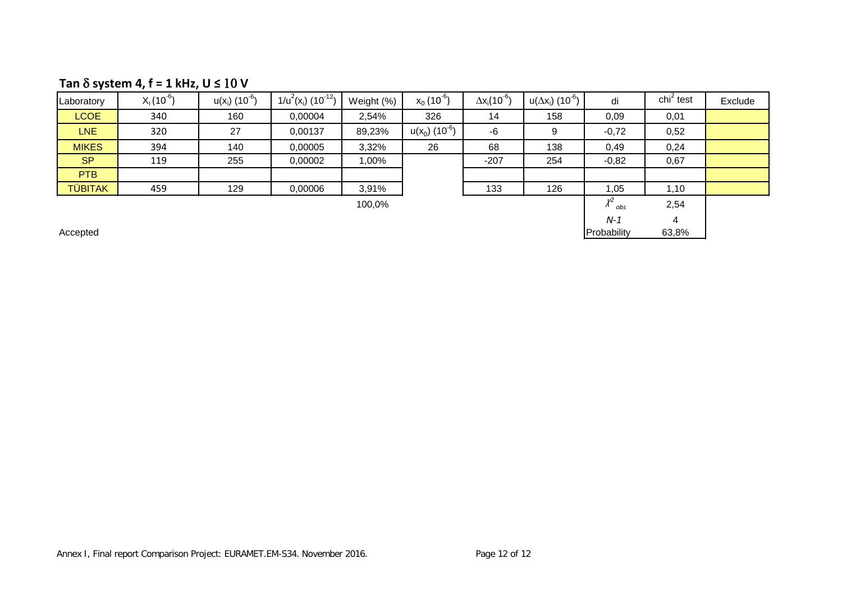## **Tan** δ **system 4, f = 1 kHz, U ≤** 10 **V**

| Laboratory     | $X_i(10^{-6})$ | $u(x_i)$ (10 <sup>-6</sup> ) | $1/u^2(x_i)$ (10 <sup>-12</sup> ) | Weight (%) | $x_0(10^{-6})$               | $\Delta x_i(10^{-6})$ | $u(\Delta x_i)$ (10 <sup>-6</sup> ) | di                 | chi <sup>2</sup> test | Exclude |
|----------------|----------------|------------------------------|-----------------------------------|------------|------------------------------|-----------------------|-------------------------------------|--------------------|-----------------------|---------|
| <b>LCOE</b>    | 340            | 160                          | 0,00004                           | 2,54%      | 326                          | 14                    | 158                                 | 0,09               | 0,01                  |         |
| <b>LNE</b>     | 320            | 27                           | 0,00137                           | 89,23%     | $u(x_0)$ (10 <sup>-6</sup> ) | -6                    | 9                                   | $-0,72$            | 0,52                  |         |
| <b>MIKES</b>   | 394            | 140                          | 0,00005                           | 3,32%      | 26                           | 68                    | 138                                 | 0,49               | 0,24                  |         |
| <b>SP</b>      | 119            | 255                          | 0,00002                           | 1,00%      |                              | $-207$                | 254                                 | $-0,82$            | 0,67                  |         |
| <b>PTB</b>     |                |                              |                                   |            |                              |                       |                                     |                    |                       |         |
| <b>TÜBITAK</b> | 459            | 129                          | 0,00006                           | 3,91%      |                              | 133                   | 126                                 | 1,05               | 1,10                  |         |
|                |                |                              |                                   | 100,0%     |                              |                       |                                     | v<br>$\Lambda$ obs | 2,54                  |         |
|                |                |                              |                                   |            |                              |                       |                                     | $N-1$              | 4                     |         |

Accepted and the state of the control of the control of the control of the control of the control of the control of the control of the control of the control of the control of the control of the control of the control of t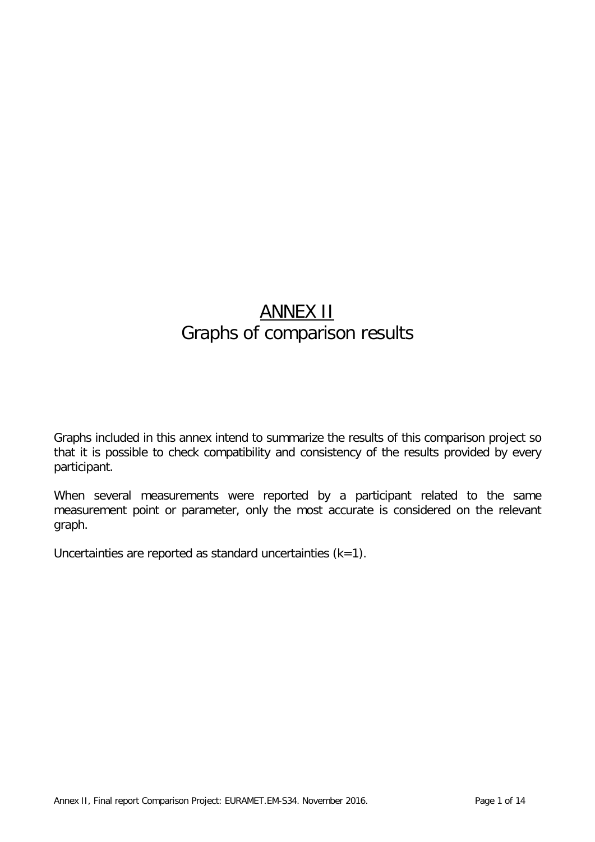# ANNEX II Graphs of comparison results

Graphs included in this annex intend to summarize the results of this comparison project so that it is possible to check compatibility and consistency of the results provided by every participant.

When several measurements were reported by a participant related to the same measurement point or parameter, only the most accurate is considered on the relevant graph.

Uncertainties are reported as standard uncertainties  $(k=1)$ .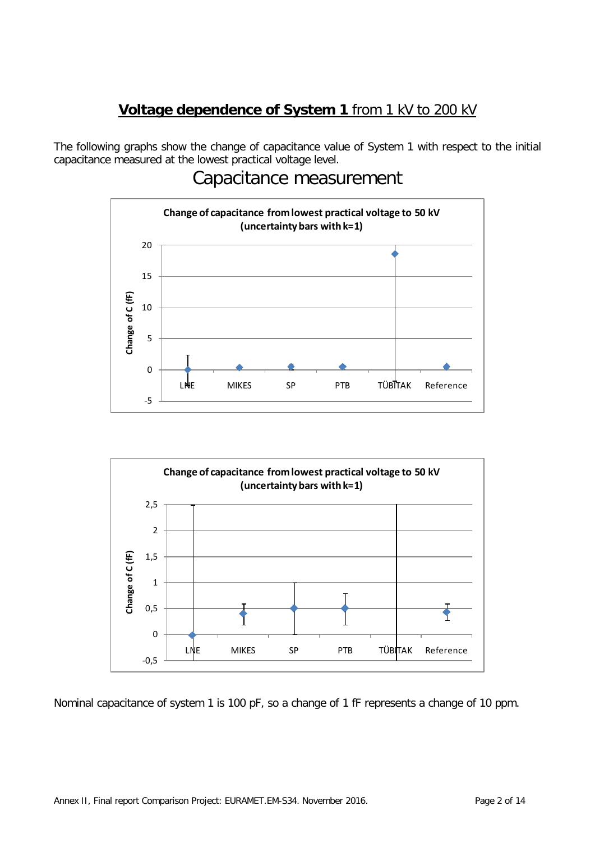# **Voltage dependence of System 1** from 1 kV to 200 kV

The following graphs show the change of capacitance value of System 1 with respect to the initial capacitance measured at the lowest practical voltage level.

# Capacitance measurement



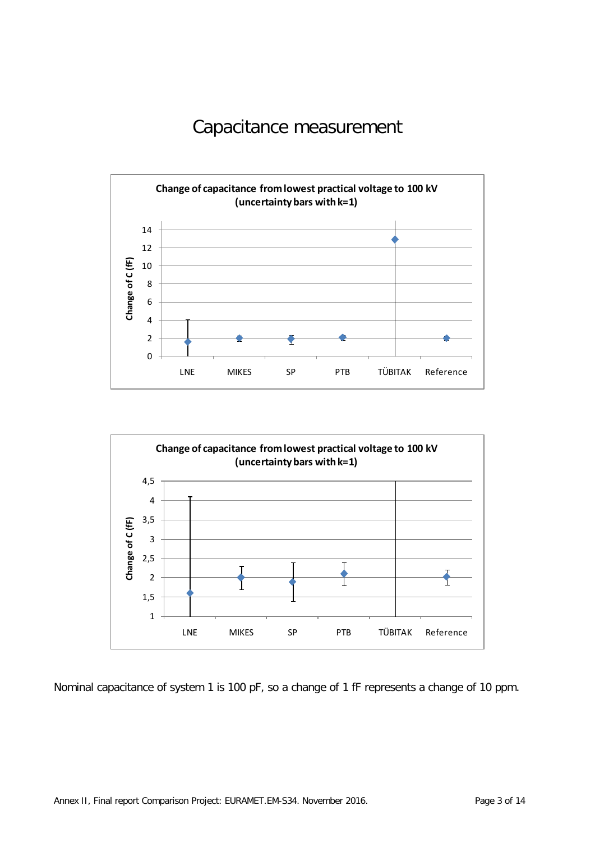# Capacitance measurement



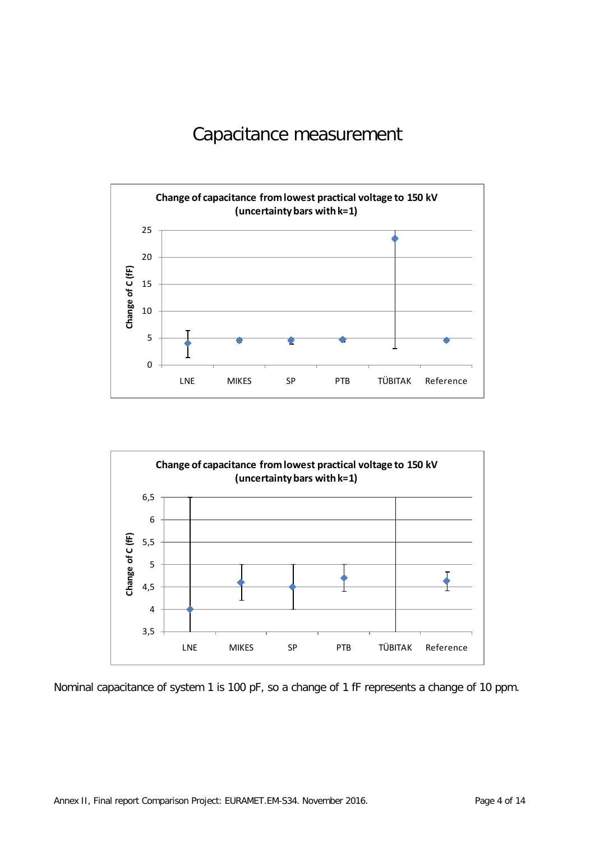# Capacitance measurement



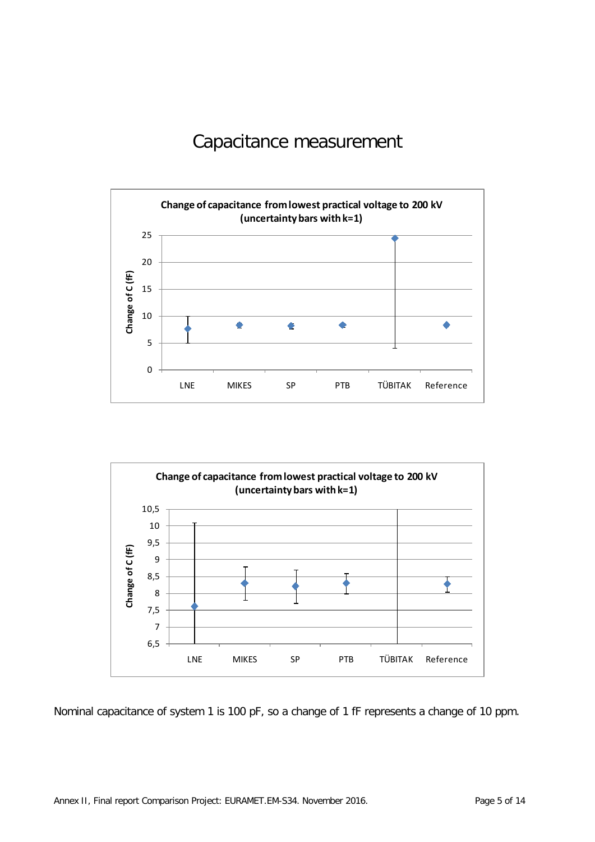# Capacitance measurement



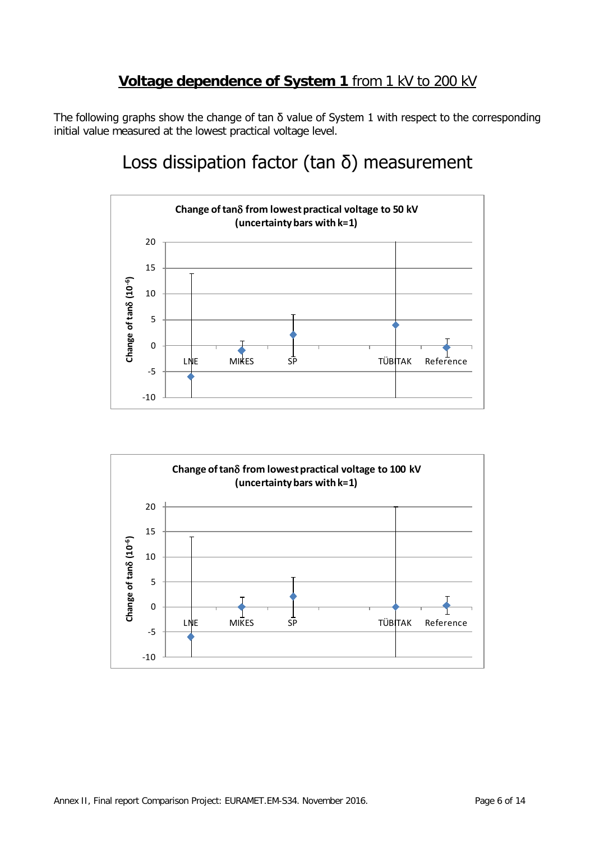## **Voltage dependence of System 1** from 1 kV to 200 kV

The following graphs show the change of tan  $\delta$  value of System 1 with respect to the corresponding initial value measured at the lowest practical voltage level.

# Loss dissipation factor (tan  $\delta$ ) measurement



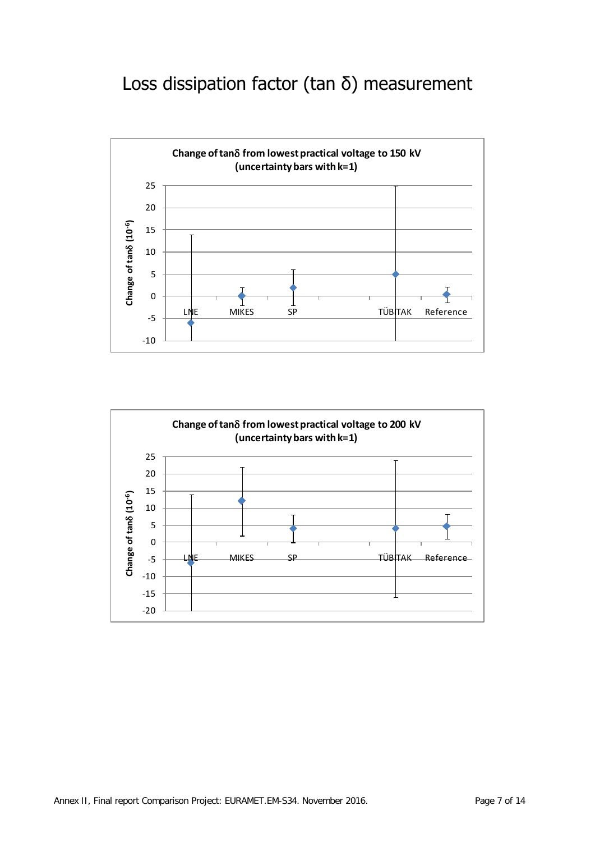# Loss dissipation factor (tan δ) measurement



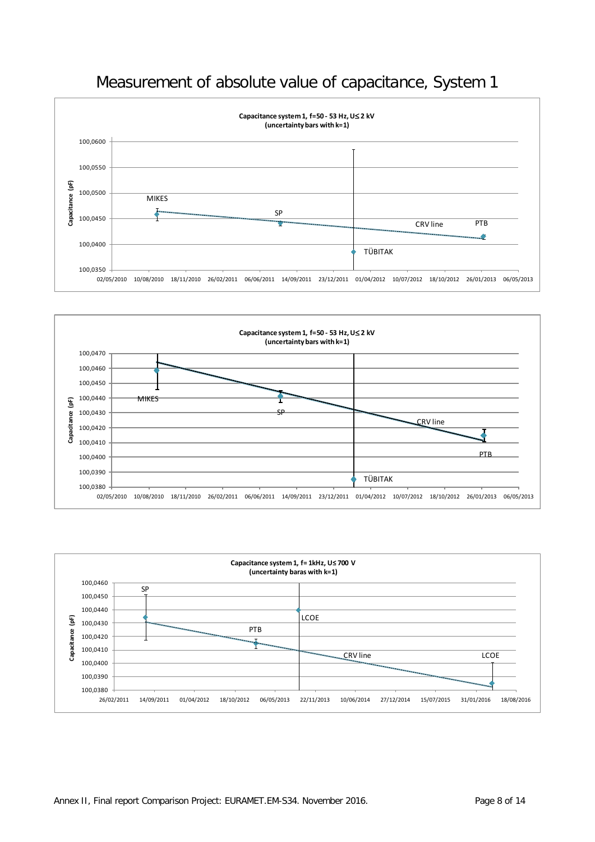





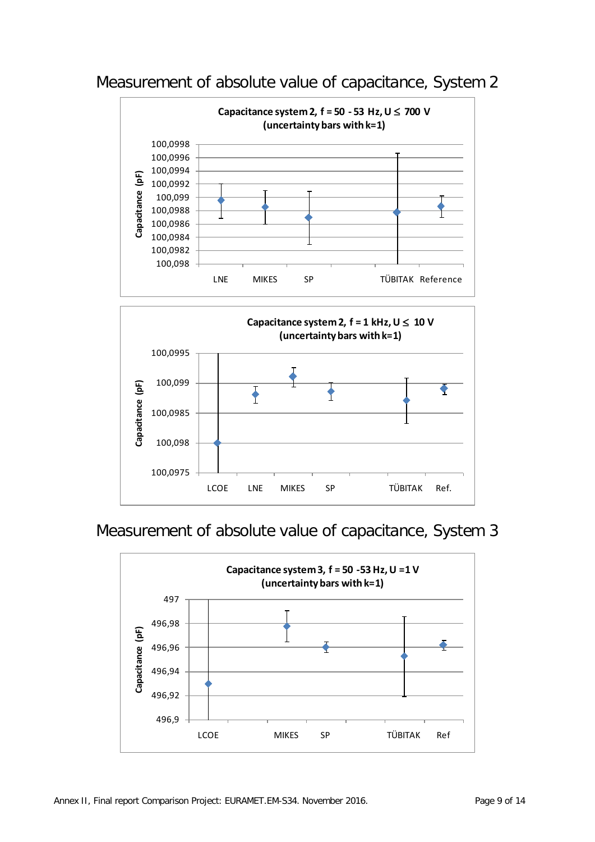

# Measurement of absolute value of capacitance, System 2



# Measurement of absolute value of capacitance, System 3

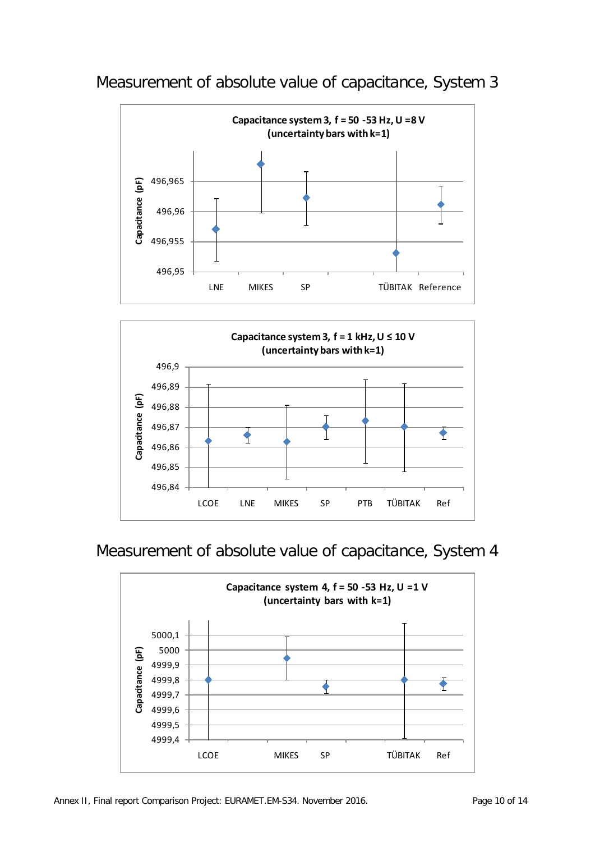

Measurement of absolute value of capacitance, System 3



# Measurement of absolute value of capacitance, System 4

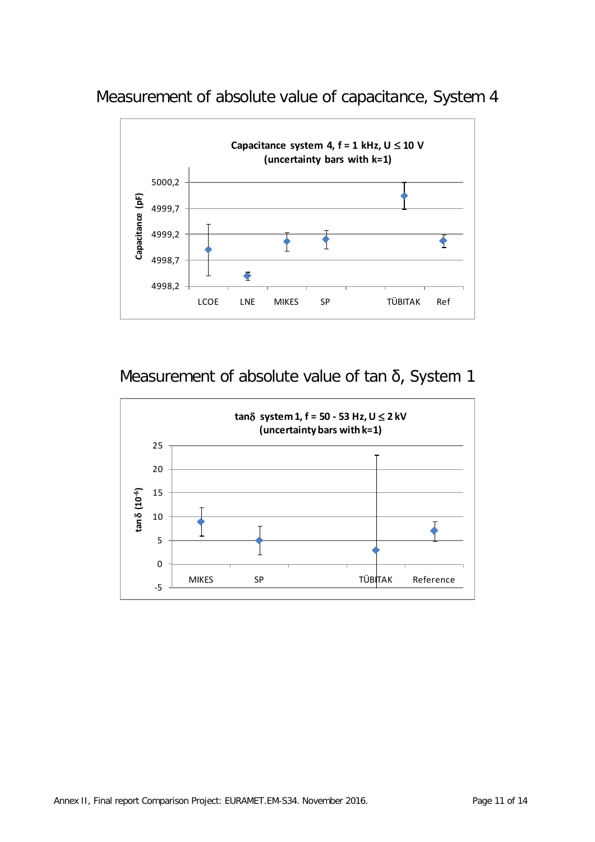Measurement of absolute value of capacitance, System 4



# Measurement of absolute value of tan δ, System 1

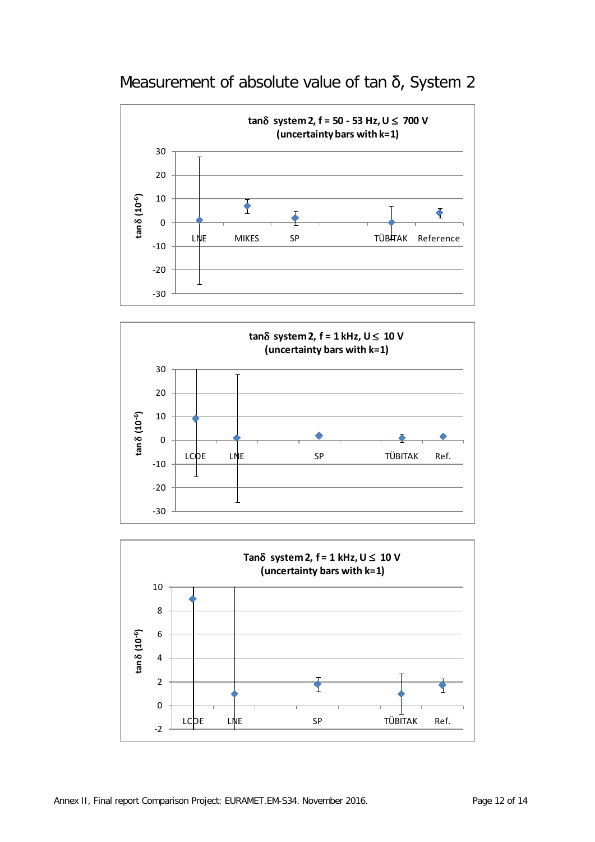





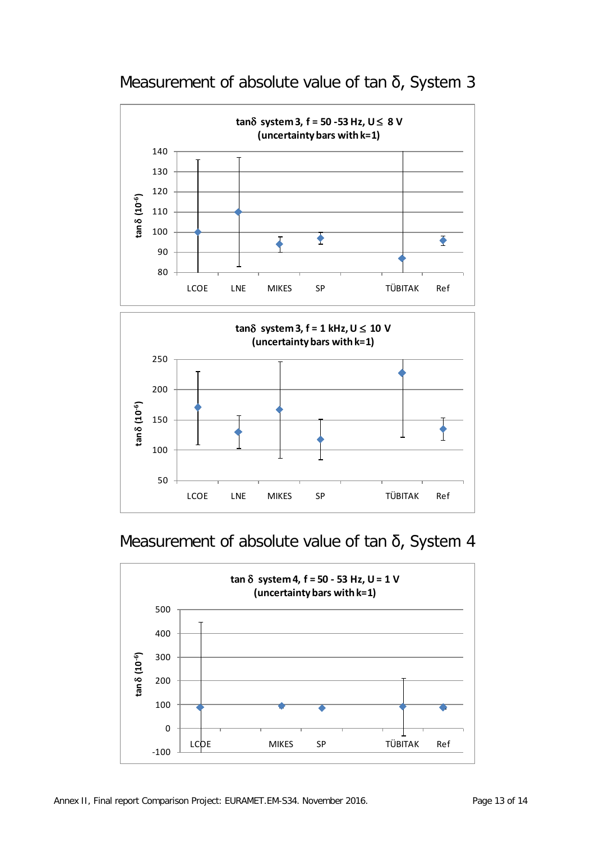

# Measurement of absolute value of tan δ, System 3



# Measurement of absolute value of tan δ, System 4